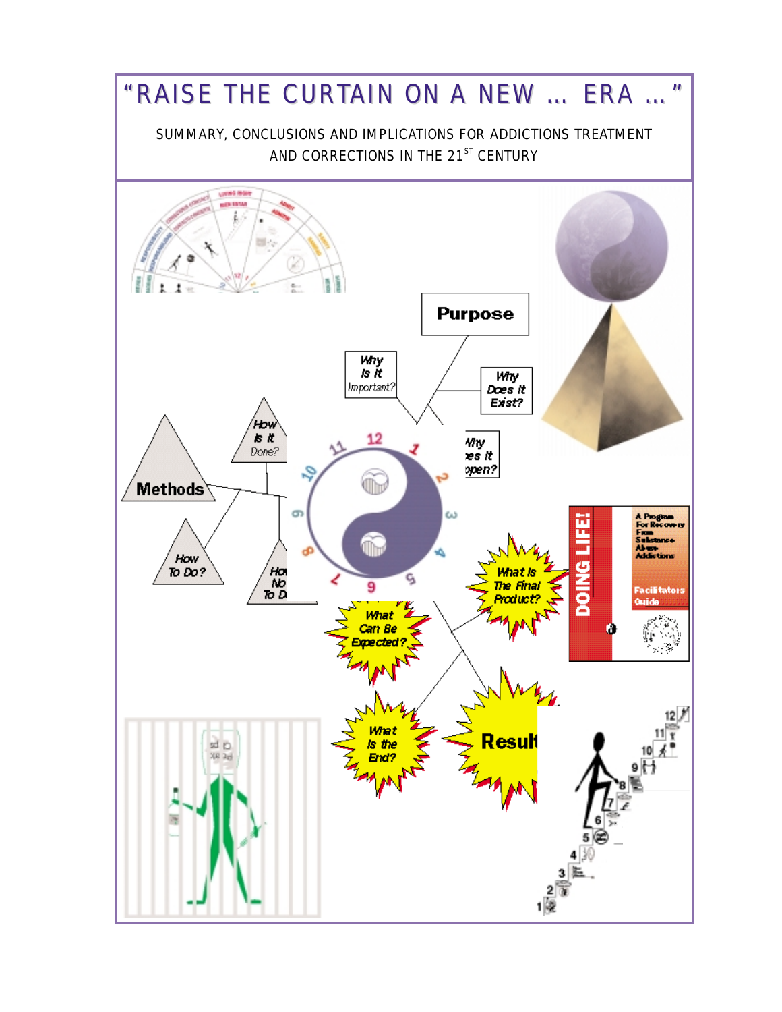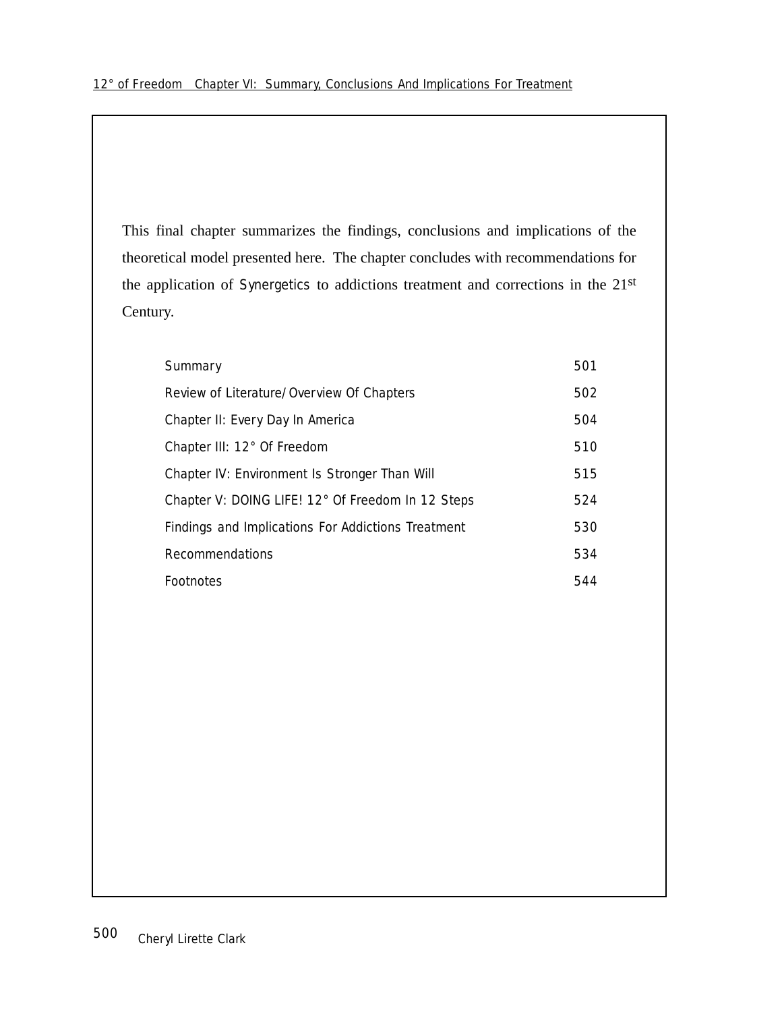This final chapter summarizes the findings, conclusions and implications of the theoretical model presented here. The chapter concludes with recommendations for the application of Synergetics to addictions treatment and corrections in the 21st Century.

| Summary                                            | 501 |
|----------------------------------------------------|-----|
| Review of Literature/Overview Of Chapters          | 502 |
| Chapter II: Every Day In America                   | 504 |
| Chapter III: 12° Of Freedom                        | 510 |
| Chapter IV: Environment Is Stronger Than Will      | 515 |
| Chapter V: DOING LIFE! 12° Of Freedom In 12 Steps  | 524 |
| Findings and Implications For Addictions Treatment | 530 |
| Recommendations                                    | 534 |
| Footnotes                                          | 544 |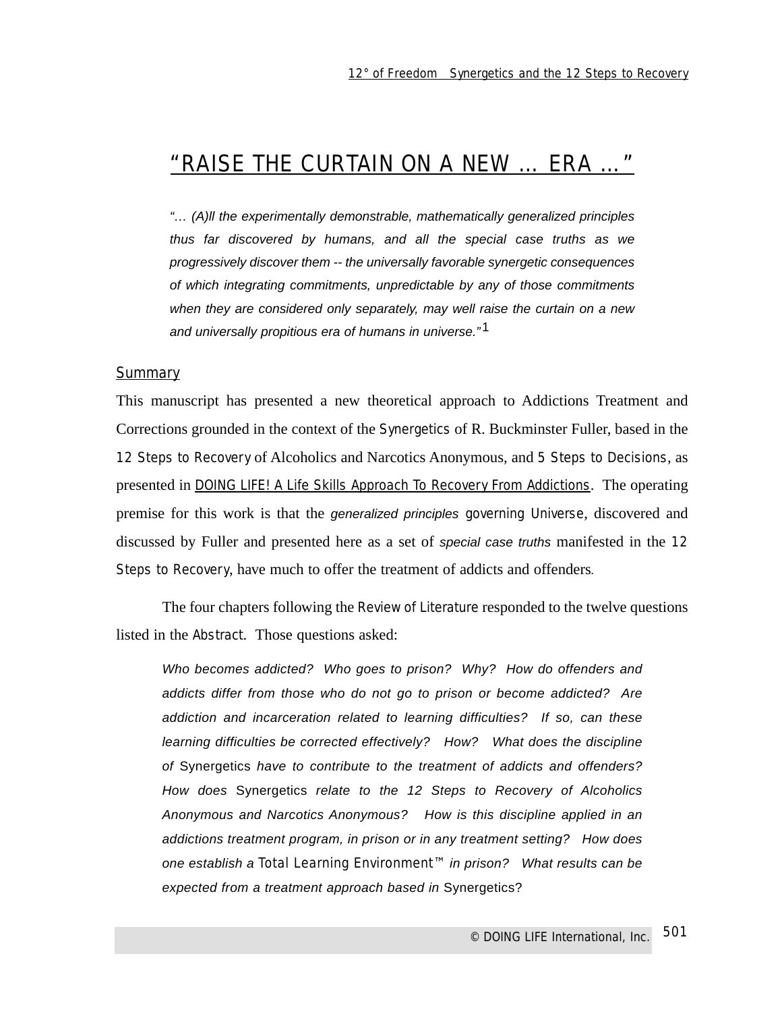# "RAISE THE CURTAIN ON A NEW … ERA …"

"… (A)ll the experimentally demonstrable, mathematically generalized principles thus far discovered by humans, and all the special case truths as we progressively discover them -- the universally favorable synergetic consequences of which integrating commitments, unpredictable by any of those commitments when they are considered only separately, may well raise the curtain on a new and universally propitious era of humans in universe."<sup>1</sup>

#### **Summary**

This manuscript has presented a new theoretical approach to Addictions Treatment and Corrections grounded in the context of the Synergetics of R. Buckminster Fuller, based in the 12 Steps to Recovery of Alcoholics and Narcotics Anonymous, and 5 Steps to Decisions, as presented in DOING LIFE! A Life Skills Approach To Recovery From Addictions. The operating premise for this work is that the generalized principles governing Universe, discovered and discussed by Fuller and presented here as a set of special case truths manifested in the 12 Steps to Recovery, have much to offer the treatment of addicts and offenders.

The four chapters following the Review of Literature responded to the twelve questions listed in the Abstract. Those questions asked:

Who becomes addicted? Who goes to prison? Why? How do offenders and addicts differ from those who do not go to prison or become addicted? Are addiction and incarceration related to learning difficulties? If so, can these learning difficulties be corrected effectively? How? What does the discipline of Synergetics have to contribute to the treatment of addicts and offenders? How does Synergetics relate to the 12 Steps to Recovery of Alcoholics Anonymous and Narcotics Anonymous? How is this discipline applied in an addictions treatment program, in prison or in any treatment setting? How does one establish a Total Learning Environment™ in prison? What results can be expected from a treatment approach based in Synergetics?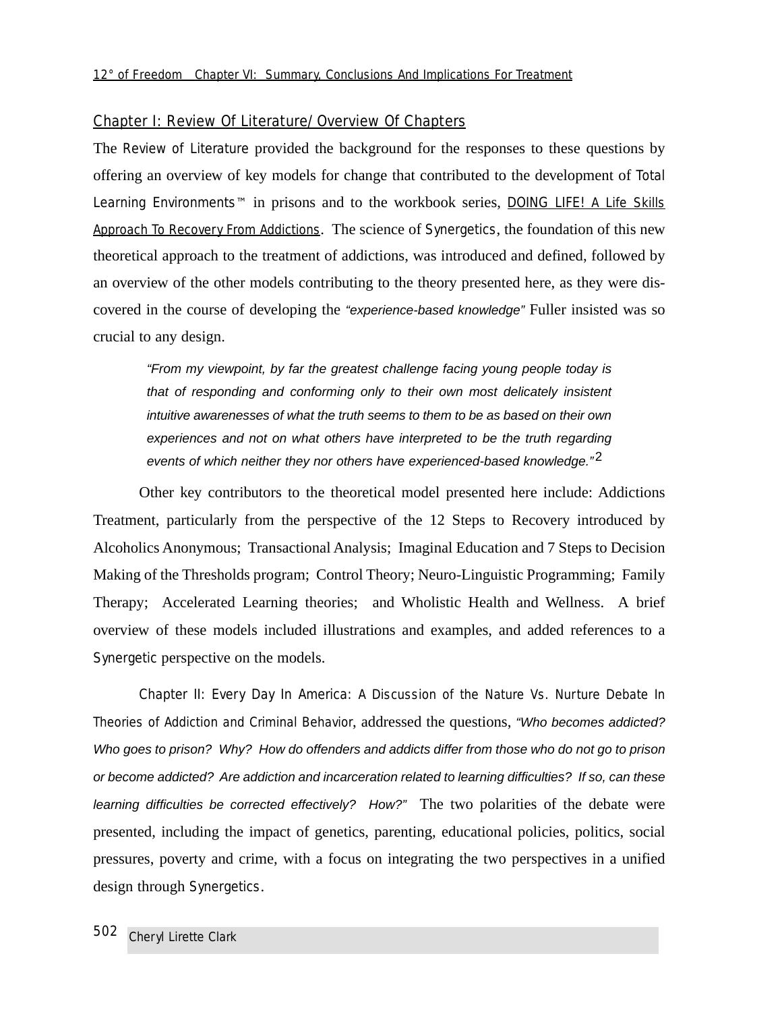#### Chapter I: Review Of Literature/Overview Of Chapters

The Review of Literature provided the background for the responses to these questions by offering an overview of key models for change that contributed to the development of Total Learning Environments™ in prisons and to the workbook series, DOING LIFE! A Life Skills Approach To Recovery From Addictions. The science of Synergetics, the foundation of this new theoretical approach to the treatment of addictions, was introduced and defined, followed by an overview of the other models contributing to the theory presented here, as they were discovered in the course of developing the "experience-based knowledge" Fuller insisted was so crucial to any design.

"From my viewpoint, by far the greatest challenge facing young people today is that of responding and conforming only to their own most delicately insistent intuitive awarenesses of what the truth seems to them to be as based on their own experiences and not on what others have interpreted to be the truth regarding events of which neither they nor others have experienced-based knowledge. $"^2$ 

Other key contributors to the theoretical model presented here include: Addictions Treatment, particularly from the perspective of the 12 Steps to Recovery introduced by Alcoholics Anonymous; Transactional Analysis; Imaginal Education and 7 Steps to Decision Making of the Thresholds program; Control Theory; Neuro-Linguistic Programming; Family Therapy; Accelerated Learning theories; and Wholistic Health and Wellness. A brief overview of these models included illustrations and examples, and added references to a Synergetic perspective on the models.

Chapter II: Every Day In America: A Discussion of the Nature Vs. Nurture Debate In Theories of Addiction and Criminal Behavior, addressed the questions, "Who becomes addicted? Who goes to prison? Why? How do offenders and addicts differ from those who do not go to prison or become addicted? Are addiction and incarceration related to learning difficulties? If so, can these learning difficulties be corrected effectively? How?" The two polarities of the debate were presented, including the impact of genetics, parenting, educational policies, politics, social pressures, poverty and crime, with a focus on integrating the two perspectives in a unified design through Synergetics.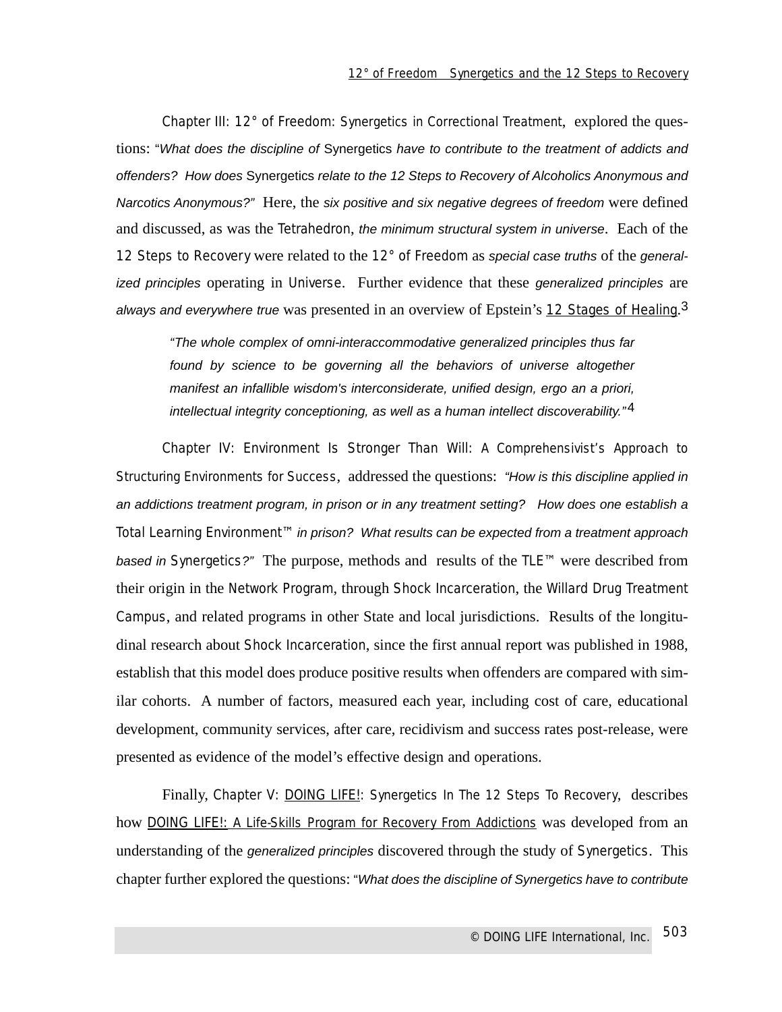Chapter III: 12° of Freedom: Synergetics in Correctional Treatment, explored the questions: "What does the discipline of Synergetics have to contribute to the treatment of addicts and offenders? How does Synergetics relate to the 12 Steps to Recovery of Alcoholics Anonymous and Narcotics Anonymous?" Here, the six positive and six negative degrees of freedom were defined and discussed, as was the Tetrahedron, the minimum structural system in universe. Each of the 12 Steps to Recovery were related to the  $12^{\circ}$  of Freedom as special case truths of the generalized principles operating in Universe. Further evidence that these generalized principles are always and everywhere true was presented in an overview of Epstein's 12 Stages of Healing.<sup>3</sup>

"The whole complex of omni-interaccommodative generalized principles thus far found by science to be governing all the behaviors of universe altogether manifest an infallible wisdom's interconsiderate, unified design, ergo an a priori, intellectual integrity conceptioning, as well as a human intellect discoverability."<sup>4</sup>

Chapter IV: Environment Is Stronger Than Will: A Comprehensivist's Approach to Structuring Environments for Success, addressed the questions: "How is this discipline applied in an addictions treatment program, in prison or in any treatment setting? How does one establish a Total Learning Environment™ in prison? What results can be expected from a treatment approach based in Synergetics?" The purpose, methods and results of the TLE™ were described from their origin in the Network Program, through Shock Incarceration, the Willard Drug Treatment Campus, and related programs in other State and local jurisdictions. Results of the longitudinal research about Shock Incarceration, since the first annual report was published in 1988, establish that this model does produce positive results when offenders are compared with similar cohorts. A number of factors, measured each year, including cost of care, educational development, community services, after care, recidivism and success rates post-release, were presented as evidence of the model's effective design and operations.

Finally, Chapter V: **DOING LIFE!:** Synergetics In The 12 Steps To Recovery, describes how DOING LIFE!: A Life-Skills Program for Recovery From Addictions was developed from an understanding of the generalized principles discovered through the study of Synergetics. This chapter further explored the questions: "What does the discipline of Synergetics have to contribute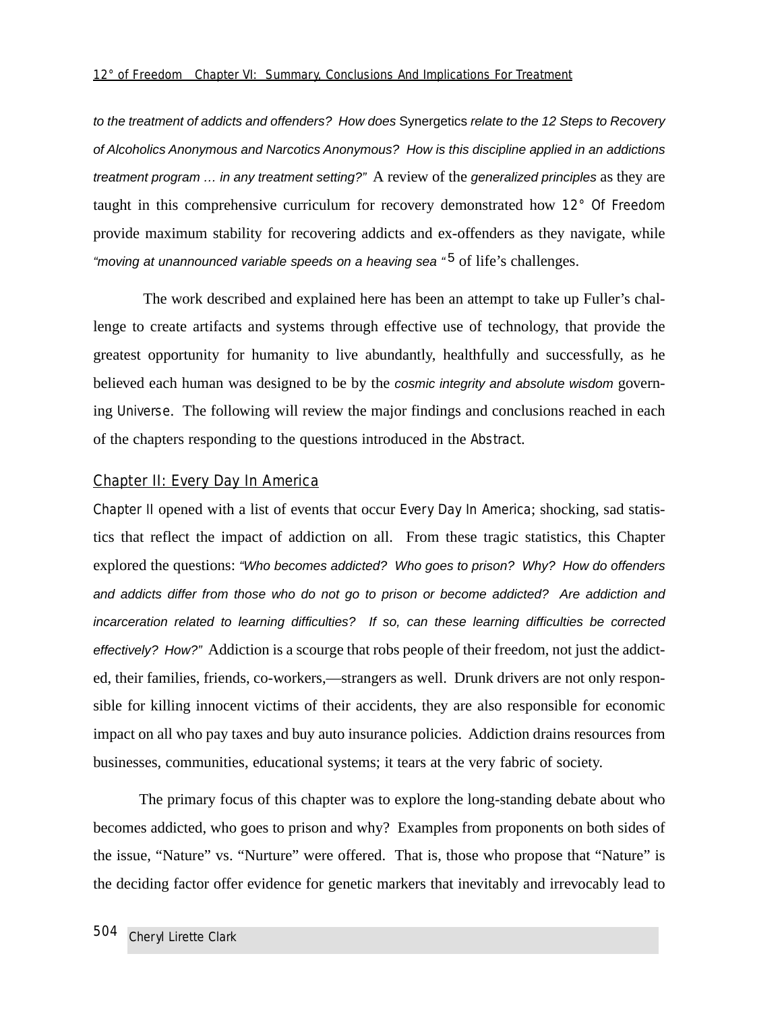to the treatment of addicts and offenders? How does Synergetics relate to the 12 Steps to Recovery of Alcoholics Anonymous and Narcotics Anonymous? How is this discipline applied in an addictions treatment program … in any treatment setting?" A review of the generalized principles as they are taught in this comprehensive curriculum for recovery demonstrated how 12° Of Freedom provide maximum stability for recovering addicts and ex-offenders as they navigate, while "moving at unannounced variable speeds on a heaving sea "<sup>5</sup> of life's challenges.

The work described and explained here has been an attempt to take up Fuller's challenge to create artifacts and systems through effective use of technology, that provide the greatest opportunity for humanity to live abundantly, healthfully and successfully, as he believed each human was designed to be by the cosmic integrity and absolute wisdom governing Universe. The following will review the major findings and conclusions reached in each of the chapters responding to the questions introduced in the Abstract.

#### Chapter II: Every Day In America

Chapter II opened with a list of events that occur Every Day In America; shocking, sad statistics that reflect the impact of addiction on all. From these tragic statistics, this Chapter explored the questions: "Who becomes addicted? Who goes to prison? Why? How do offenders and addicts differ from those who do not go to prison or become addicted? Are addiction and incarceration related to learning difficulties? If so, can these learning difficulties be corrected effectively? How?" Addiction is a scourge that robs people of their freedom, not just the addicted, their families, friends, co-workers,—strangers as well. Drunk drivers are not only responsible for killing innocent victims of their accidents, they are also responsible for economic impact on all who pay taxes and buy auto insurance policies. Addiction drains resources from businesses, communities, educational systems; it tears at the very fabric of society.

The primary focus of this chapter was to explore the long-standing debate about who becomes addicted, who goes to prison and why? Examples from proponents on both sides of the issue, "Nature" vs. "Nurture" were offered. That is, those who propose that "Nature" is the deciding factor offer evidence for genetic markers that inevitably and irrevocably lead to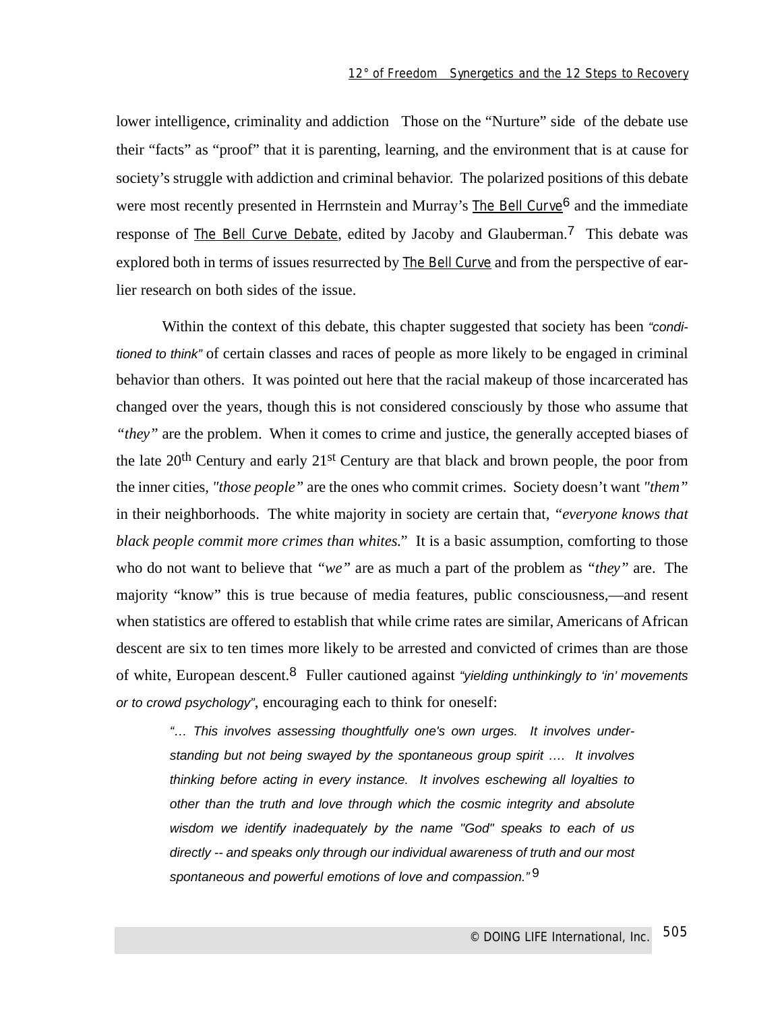lower intelligence, criminality and addiction Those on the "Nurture" side of the debate use their "facts" as "proof" that it is parenting, learning, and the environment that is at cause for society's struggle with addiction and criminal behavior. The polarized positions of this debate were most recently presented in Herrnstein and Murray's The Bell Curve<sup>6</sup> and the immediate response of The Bell Curve Debate, edited by Jacoby and Glauberman.7 This debate was explored both in terms of issues resurrected by The Bell Curve and from the perspective of earlier research on both sides of the issue.

Within the context of this debate, this chapter suggested that society has been "conditioned to think" of certain classes and races of people as more likely to be engaged in criminal behavior than others. It was pointed out here that the racial makeup of those incarcerated has changed over the years, though this is not considered consciously by those who assume that *"they"* are the problem. When it comes to crime and justice, the generally accepted biases of the late 20th Century and early 21st Century are that black and brown people, the poor from the inner cities, *"those people"* are the ones who commit crimes. Society doesn't want *"them"* in their neighborhoods. The white majority in society are certain that, *"everyone knows that black people commit more crimes than whites."* It is a basic assumption, comforting to those who do not want to believe that *"we"* are as much a part of the problem as *"they"* are. The majority "know" this is true because of media features, public consciousness,—and resent when statistics are offered to establish that while crime rates are similar, Americans of African descent are six to ten times more likely to be arrested and convicted of crimes than are those of white, European descent.<sup>8</sup> Fuller cautioned against "yielding unthinkingly to 'in' movements or to crowd psychology", encouraging each to think for oneself:

"… This involves assessing thoughtfully one's own urges. It involves understanding but not being swayed by the spontaneous group spirit …. It involves thinking before acting in every instance. It involves eschewing all loyalties to other than the truth and love through which the cosmic integrity and absolute wisdom we identify inadequately by the name "God" speaks to each of us directly -- and speaks only through our individual awareness of truth and our most spontaneous and powerful emotions of love and compassion."<sup>9</sup>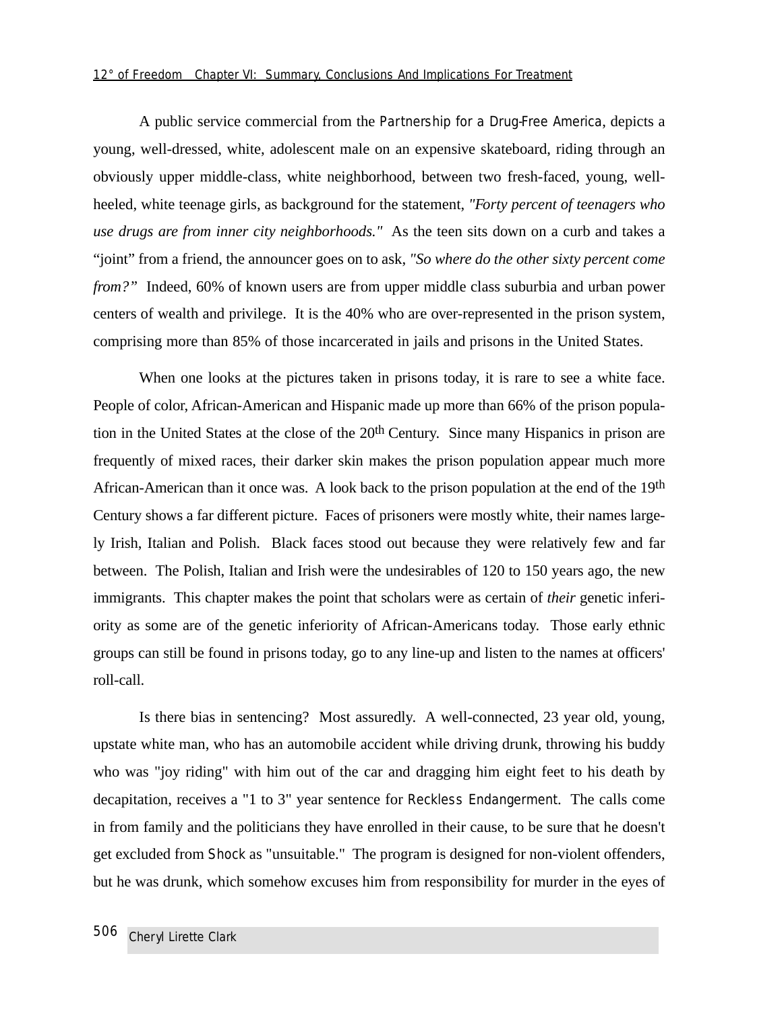A public service commercial from the Partnership for a Drug-Free America, depicts a young, well-dressed, white, adolescent male on an expensive skateboard, riding through an obviously upper middle-class, white neighborhood, between two fresh-faced, young, wellheeled, white teenage girls, as background for the statement, *"Forty percent of teenagers who use drugs are from inner city neighborhoods."* As the teen sits down on a curb and takes a "joint" from a friend, the announcer goes on to ask, *"So where do the other sixty percent come from?"* Indeed, 60% of known users are from upper middle class suburbia and urban power centers of wealth and privilege. It is the 40% who are over-represented in the prison system, comprising more than 85% of those incarcerated in jails and prisons in the United States.

When one looks at the pictures taken in prisons today, it is rare to see a white face. People of color, African-American and Hispanic made up more than 66% of the prison population in the United States at the close of the 20th Century. Since many Hispanics in prison are frequently of mixed races, their darker skin makes the prison population appear much more African-American than it once was. A look back to the prison population at the end of the 19<sup>th</sup> Century shows a far different picture. Faces of prisoners were mostly white, their names largely Irish, Italian and Polish. Black faces stood out because they were relatively few and far between. The Polish, Italian and Irish were the undesirables of 120 to 150 years ago, the new immigrants. This chapter makes the point that scholars were as certain of *their* genetic inferiority as some are of the genetic inferiority of African-Americans today. Those early ethnic groups can still be found in prisons today, go to any line-up and listen to the names at officers' roll-call.

Is there bias in sentencing? Most assuredly. A well-connected, 23 year old, young, upstate white man, who has an automobile accident while driving drunk, throwing his buddy who was "joy riding" with him out of the car and dragging him eight feet to his death by decapitation, receives a "1 to 3" year sentence for *Reckless Endangerment*. The calls come in from family and the politicians they have enrolled in their cause, to be sure that he doesn't get excluded from Shock as "unsuitable." The program is designed for non-violent offenders, but he was drunk, which somehow excuses him from responsibility for murder in the eyes of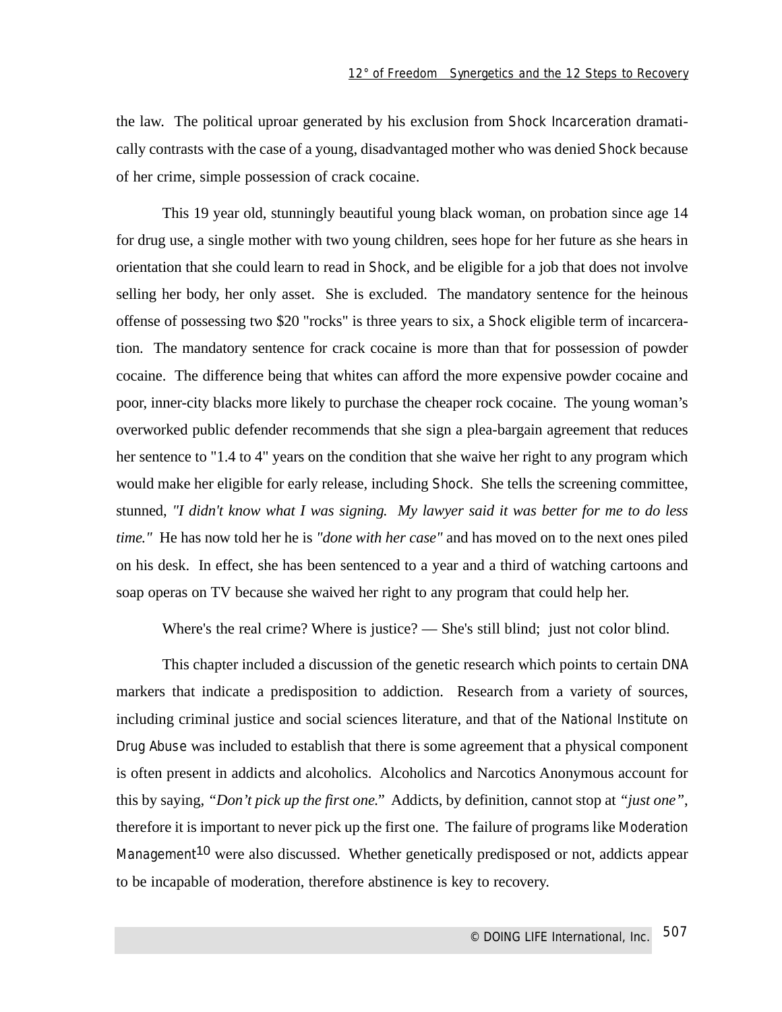the law. The political uproar generated by his exclusion from Shock Incarceration dramatically contrasts with the case of a young, disadvantaged mother who was denied Shock because of her crime, simple possession of crack cocaine.

This 19 year old, stunningly beautiful young black woman, on probation since age 14 for drug use, a single mother with two young children, sees hope for her future as she hears in orientation that she could learn to read in Shock, and be eligible for a job that does not involve selling her body, her only asset. She is excluded. The mandatory sentence for the heinous offense of possessing two \$20 "rocks" is three years to six, a Shock eligible term of incarceration. The mandatory sentence for crack cocaine is more than that for possession of powder cocaine. The difference being that whites can afford the more expensive powder cocaine and poor, inner-city blacks more likely to purchase the cheaper rock cocaine. The young woman's overworked public defender recommends that she sign a plea-bargain agreement that reduces her sentence to "1.4 to 4" years on the condition that she waive her right to any program which would make her eligible for early release, including Shock. She tells the screening committee, stunned, *"I didn't know what I was signing. My lawyer said it was better for me to do less time."* He has now told her he is *"done with her case"* and has moved on to the next ones piled on his desk. In effect, she has been sentenced to a year and a third of watching cartoons and soap operas on TV because she waived her right to any program that could help her.

Where's the real crime? Where is justice? — She's still blind; just not color blind.

This chapter included a discussion of the genetic research which points to certain DNA markers that indicate a predisposition to addiction. Research from a variety of sources, including criminal justice and social sciences literature, and that of the National Institute on Drug Abuse was included to establish that there is some agreement that a physical component is often present in addicts and alcoholics. Alcoholics and Narcotics Anonymous account for this by saying, *"Don't pick up the first one."* Addicts, by definition, cannot stop at *"just one"*, therefore it is important to never pick up the first one. The failure of programs like Moderation Management<sup>10</sup> were also discussed. Whether genetically predisposed or not, addicts appear to be incapable of moderation, therefore abstinence is key to recovery.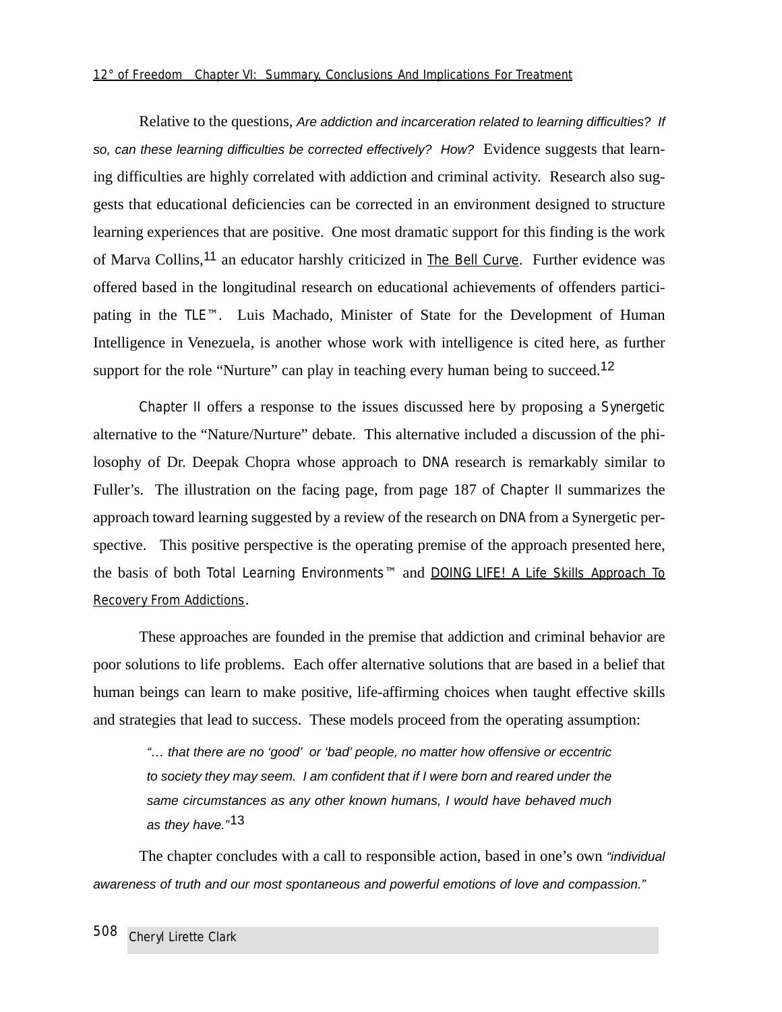Relative to the questions, Are addiction and incarceration related to learning difficulties? If so, can these learning difficulties be corrected effectively? How? Evidence suggests that learning difficulties are highly correlated with addiction and criminal activity. Research also suggests that educational deficiencies can be corrected in an environment designed to structure learning experiences that are positive. One most dramatic support for this finding is the work of Marva Collins,<sup>11</sup> an educator harshly criticized in The Bell Curve. Further evidence was offered based in the longitudinal research on educational achievements of offenders participating in the TLE™. Luis Machado, Minister of State for the Development of Human Intelligence in Venezuela, is another whose work with intelligence is cited here, as further support for the role "Nurture" can play in teaching every human being to succeed.<sup>12</sup>

Chapter II offers a response to the issues discussed here by proposing a Synergetic alternative to the "Nature/Nurture" debate. This alternative included a discussion of the philosophy of Dr. Deepak Chopra whose approach to DNA research is remarkably similar to Fuller's. The illustration on the facing page, from page 187 of Chapter II summarizes the approach toward learning suggested by a review of the research on DNA from a Synergetic perspective. This positive perspective is the operating premise of the approach presented here, the basis of both Total Learning Environments™ and DOING LIFE! A Life Skills Approach To Recovery From Addictions.

These approaches are founded in the premise that addiction and criminal behavior are poor solutions to life problems. Each offer alternative solutions that are based in a belief that human beings can learn to make positive, life-affirming choices when taught effective skills and strategies that lead to success. These models proceed from the operating assumption:

"… that there are no 'good' or 'bad' people, no matter how offensive or eccentric to society they may seem. I am confident that if I were born and reared under the same circumstances as any other known humans, I would have behaved much as they have."<sup>13</sup>

The chapter concludes with a call to responsible action, based in one's own "individual awareness of truth and our most spontaneous and powerful emotions of love and compassion."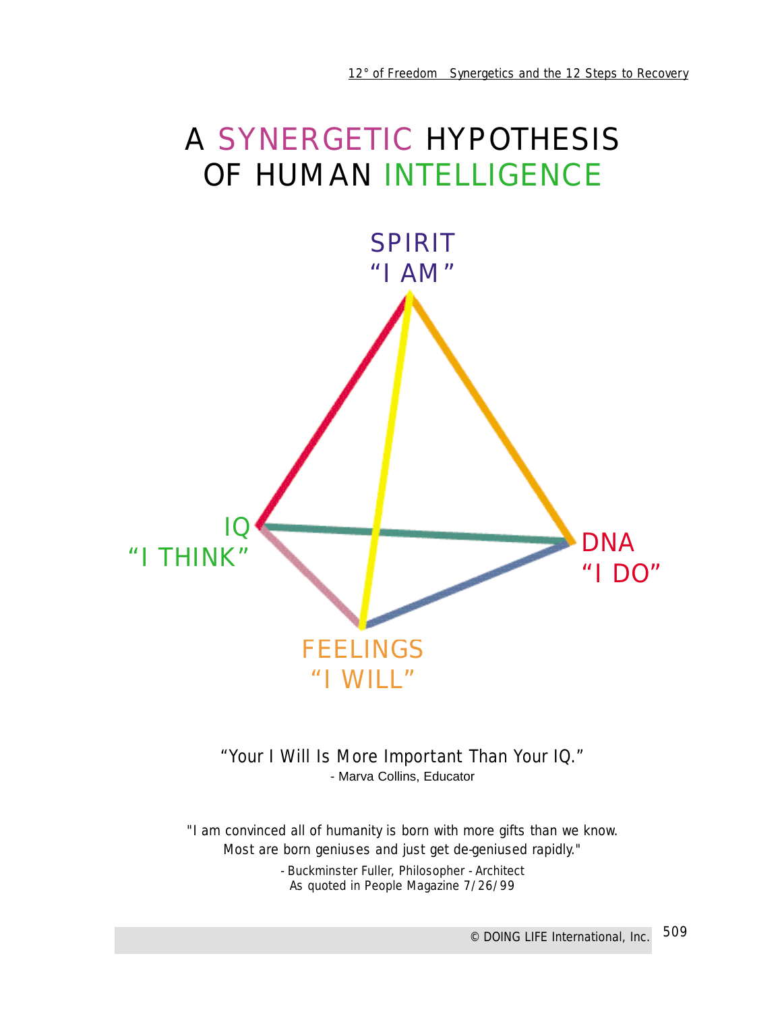



# *"Your I Will Is More Important Than Your IQ."*

- Marva Collins, Educator

*"I am convinced all of humanity is born with more gifts than we know. Most are born geniuses and just get de-geniused rapidly."*

> - Buckminster Fuller, Philosopher - Architect As quoted in People Magazine 7/26/99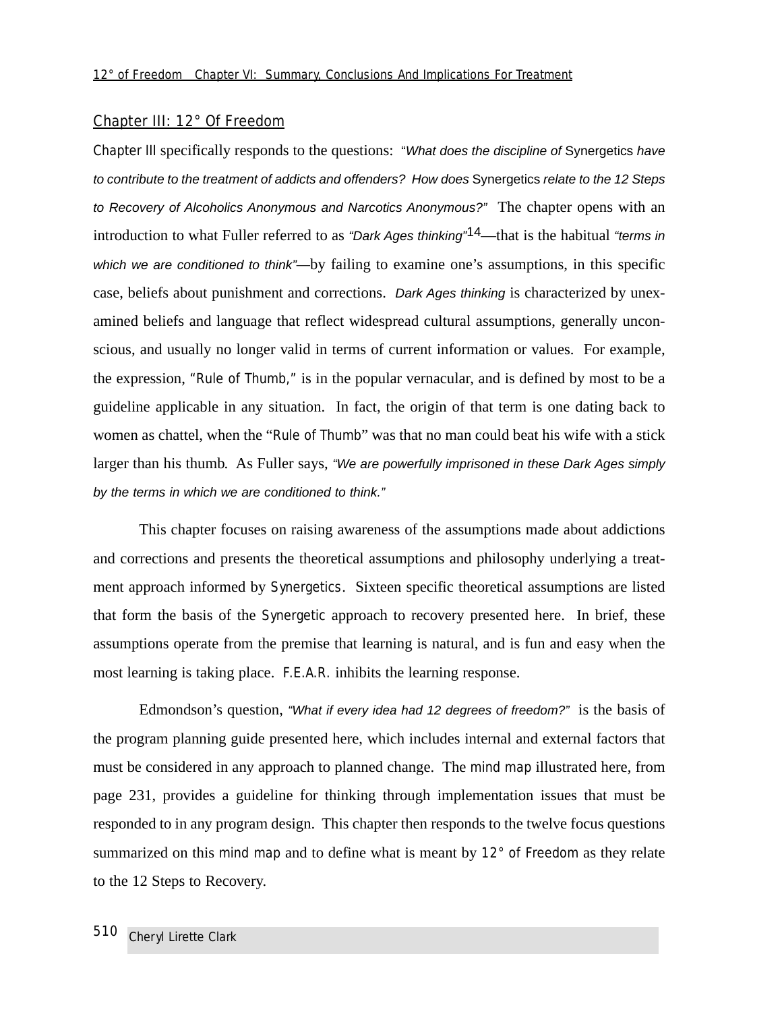#### Chapter III: 12° Of Freedom

Chapter III specifically responds to the questions: "What does the discipline of Synergetics have to contribute to the treatment of addicts and offenders? How does Synergetics relate to the 12 Steps to Recovery of Alcoholics Anonymous and Narcotics Anonymous?" The chapter opens with an introduction to what Fuller referred to as "Dark Ages thinking"<sup>14</sup>—that is the habitual "terms in which we are conditioned to think"—by failing to examine one's assumptions, in this specific case, beliefs about punishment and corrections. Dark Ages thinking is characterized by unexamined beliefs and language that reflect widespread cultural assumptions, generally unconscious, and usually no longer valid in terms of current information or values. For example, the expression, "Rule of Thumb," is in the popular vernacular, and is defined by most to be a guideline applicable in any situation. In fact, the origin of that term is one dating back to women as chattel, when the "Rule of Thumb" was that no man could beat his wife with a stick larger than his thumb. As Fuller says, "We are powerfully imprisoned in these Dark Ages simply by the terms in which we are conditioned to think."

This chapter focuses on raising awareness of the assumptions made about addictions and corrections and presents the theoretical assumptions and philosophy underlying a treatment approach informed by Synergetics. Sixteen specific theoretical assumptions are listed that form the basis of the Synergetic approach to recovery presented here. In brief, these assumptions operate from the premise that learning is natural, and is fun and easy when the most learning is taking place. F.E.A.R. inhibits the learning response.

Edmondson's question, "What if every idea had 12 degrees of freedom?" is the basis of the program planning guide presented here, which includes internal and external factors that must be considered in any approach to planned change. The mind map illustrated here, from page 231, provides a guideline for thinking through implementation issues that must be responded to in any program design. This chapter then responds to the twelve focus questions summarized on this mind map and to define what is meant by 12° of Freedom as they relate to the 12 Steps to Recovery.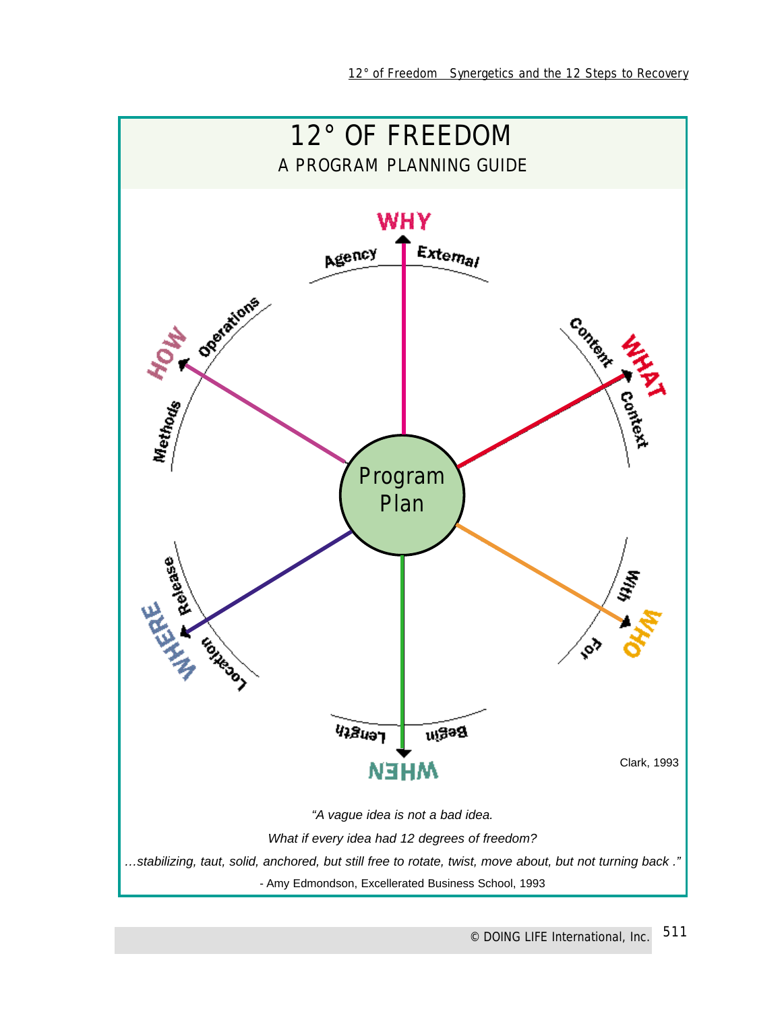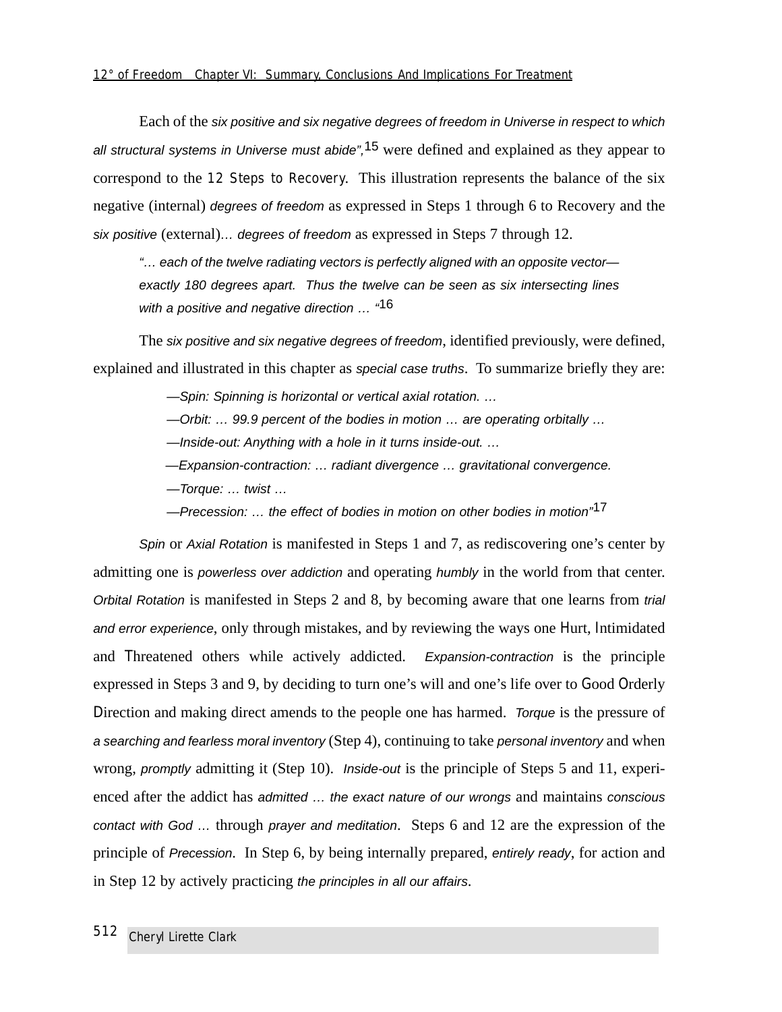Each of the six positive and six negative degrees of freedom in Universe in respect to which all structural systems in Universe must abide",<sup>15</sup> were defined and explained as they appear to correspond to the 12 Steps to Recovery. This illustration represents the balance of the six negative (internal) degrees of freedom as expressed in Steps 1 through 6 to Recovery and the six positive (external)… degrees of freedom as expressed in Steps 7 through 12.

"… each of the twelve radiating vectors is perfectly aligned with an opposite vector exactly 180 degrees apart. Thus the twelve can be seen as six intersecting lines with a positive and negative direction ...  $46$ 

The six positive and six negative degrees of freedom, identified previously, were defined, explained and illustrated in this chapter as *special case truths*. To summarize briefly they are:

—Spin: Spinning is horizontal or vertical axial rotation. …

—Orbit: … 99.9 percent of the bodies in motion … are operating orbitally …

—Inside-out: Anything with a hole in it turns inside-out. …

—Expansion-contraction: … radiant divergence … gravitational convergence.

—Torque: … twist …

 $-$ Precession: ... the effect of bodies in motion on other bodies in motion<sup>"17</sup>

Spin or Axial Rotation is manifested in Steps 1 and 7, as rediscovering one's center by admitting one is powerless over addiction and operating humbly in the world from that center. Orbital Rotation is manifested in Steps 2 and 8, by becoming aware that one learns from trial and error experience, only through mistakes, and by reviewing the ways one Hurt, Intimidated and Threatened others while actively addicted. Expansion-contraction is the principle expressed in Steps 3 and 9, by deciding to turn one's will and one's life over to Good Orderly Direction and making direct amends to the people one has harmed. Torque is the pressure of a searching and fearless moral inventory (Step 4), continuing to take personal inventory and when wrong, *promptly* admitting it (Step 10). *Inside-out* is the principle of Steps 5 and 11, experienced after the addict has admitted ... the exact nature of our wrongs and maintains conscious contact with God … through prayer and meditation. Steps 6 and 12 are the expression of the principle of Precession. In Step 6, by being internally prepared, entirely ready, for action and in Step 12 by actively practicing the principles in all our affairs.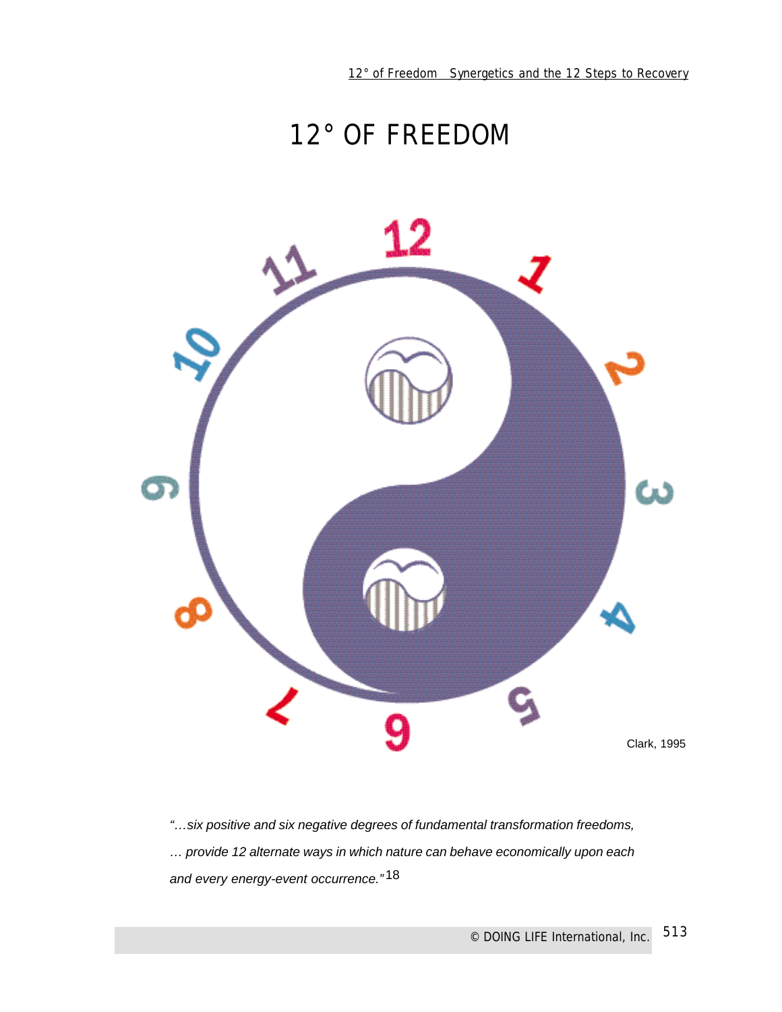# 12° OF FREEDOM



"…six positive and six negative degrees of fundamental transformation freedoms, … provide 12 alternate ways in which nature can behave economically upon each and every energy-event occurrence."<sup>18</sup>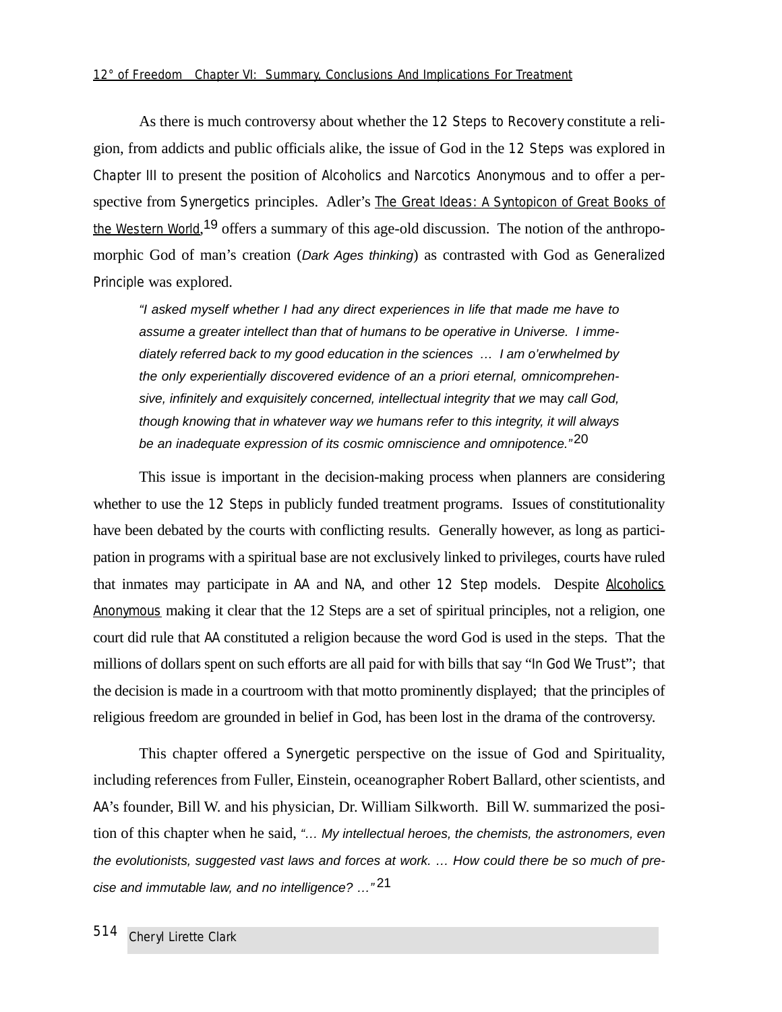As there is much controversy about whether the 12 Steps to Recovery constitute a religion, from addicts and public officials alike, the issue of God in the 12 Steps was explored in Chapter III to present the position of Alcoholics and Narcotics Anonymous and to offer a perspective from Synergetics principles. Adler's The Great Ideas: *A Syntopicon of Great Books of the Western World*, 19 offers a summary of this age-old discussion. The notion of the anthropomorphic God of man's creation (Dark Ages thinking) as contrasted with God as Generalized Principle was explored.

"I asked myself whether I had any direct experiences in life that made me have to assume a greater intellect than that of humans to be operative in Universe. I immediately referred back to my good education in the sciences … I am o'erwhelmed by the only experientially discovered evidence of an a priori eternal, omnicomprehensive, infinitely and exquisitely concerned, intellectual integrity that we may call God, though knowing that in whatever way we humans refer to this integrity, it will always be an inadequate expression of its cosmic omniscience and omnipotence."<sup>20</sup>

This issue is important in the decision-making process when planners are considering whether to use the 12 Steps in publicly funded treatment programs. Issues of constitutionality have been debated by the courts with conflicting results. Generally however, as long as participation in programs with a spiritual base are not exclusively linked to privileges, courts have ruled that inmates may participate in AA and NA, and other 12 Step models. Despite Alcoholics Anonymous making it clear that the 12 Steps are a set of spiritual principles, not a religion, one court did rule that AA constituted a religion because the word God is used in the steps. That the millions of dollars spent on such efforts are all paid for with bills that say "In God We Trust"; that the decision is made in a courtroom with that motto prominently displayed; that the principles of religious freedom are grounded in belief in God, has been lost in the drama of the controversy.

This chapter offered a Synergetic perspective on the issue of God and Spirituality, including references from Fuller, Einstein, oceanographer Robert Ballard, other scientists, and AA's founder, Bill W. and his physician, Dr. William Silkworth. Bill W. summarized the position of this chapter when he said, "… My intellectual heroes, the chemists, the astronomers, even the evolutionists, suggested vast laws and forces at work. … How could there be so much of precise and immutable law, and no intelligence? …" 21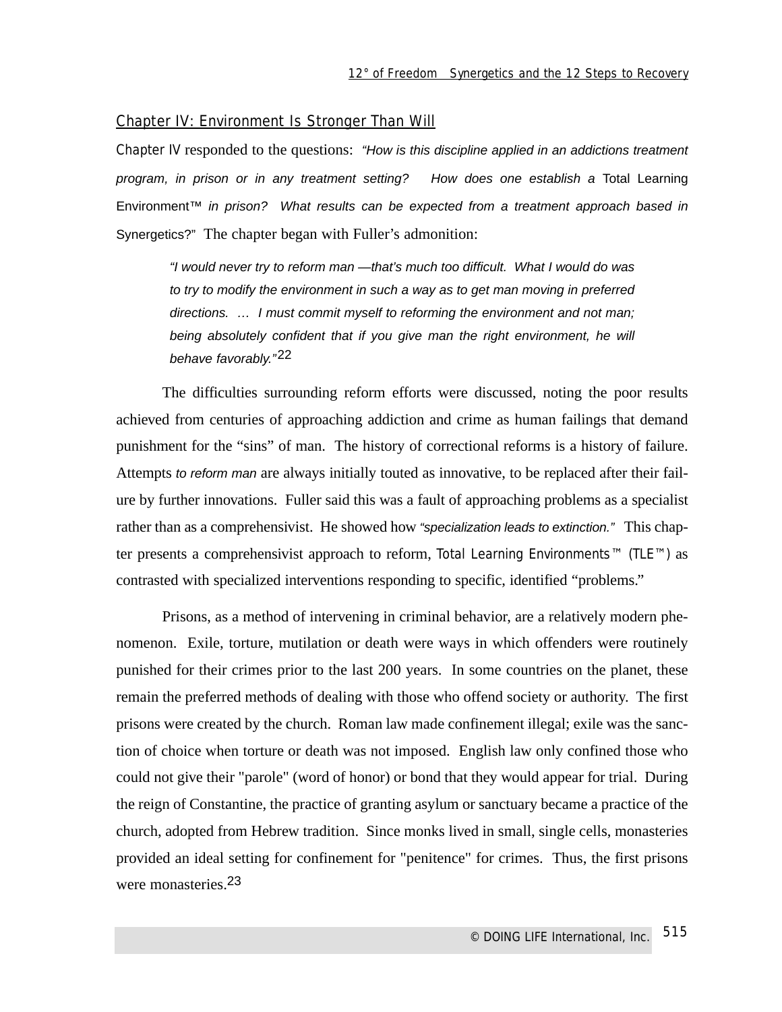#### Chapter IV: Environment Is Stronger Than Will

Chapter IV responded to the questions: "How is this discipline applied in an addictions treatment program, in prison or in any treatment setting? How does one establish a Total Learning Environment™ in prison? What results can be expected from a treatment approach based in Synergetics?" The chapter began with Fuller's admonition:

"I would never try to reform man —that's much too difficult. What I would do was to try to modify the environment in such a way as to get man moving in preferred directions. … I must commit myself to reforming the environment and not man; being absolutely confident that if you give man the right environment, he will behave favorably."22

The difficulties surrounding reform efforts were discussed, noting the poor results achieved from centuries of approaching addiction and crime as human failings that demand punishment for the "sins" of man. The history of correctional reforms is a history of failure. Attempts to reform man are always initially touted as innovative, to be replaced after their failure by further innovations. Fuller said this was a fault of approaching problems as a specialist rather than as a comprehensivist. He showed how "specialization leads to extinction." This chapter presents a comprehensivist approach to reform, Total Learning Environments™ (TLE™) as contrasted with specialized interventions responding to specific, identified "problems."

Prisons, as a method of intervening in criminal behavior, are a relatively modern phenomenon. Exile, torture, mutilation or death were ways in which offenders were routinely punished for their crimes prior to the last 200 years. In some countries on the planet, these remain the preferred methods of dealing with those who offend society or authority. The first prisons were created by the church. Roman law made confinement illegal; exile was the sanction of choice when torture or death was not imposed. English law only confined those who could not give their "parole" (word of honor) or bond that they would appear for trial. During the reign of Constantine, the practice of granting asylum or sanctuary became a practice of the church, adopted from Hebrew tradition. Since monks lived in small, single cells, monasteries provided an ideal setting for confinement for "penitence" for crimes. Thus, the first prisons were monasteries.23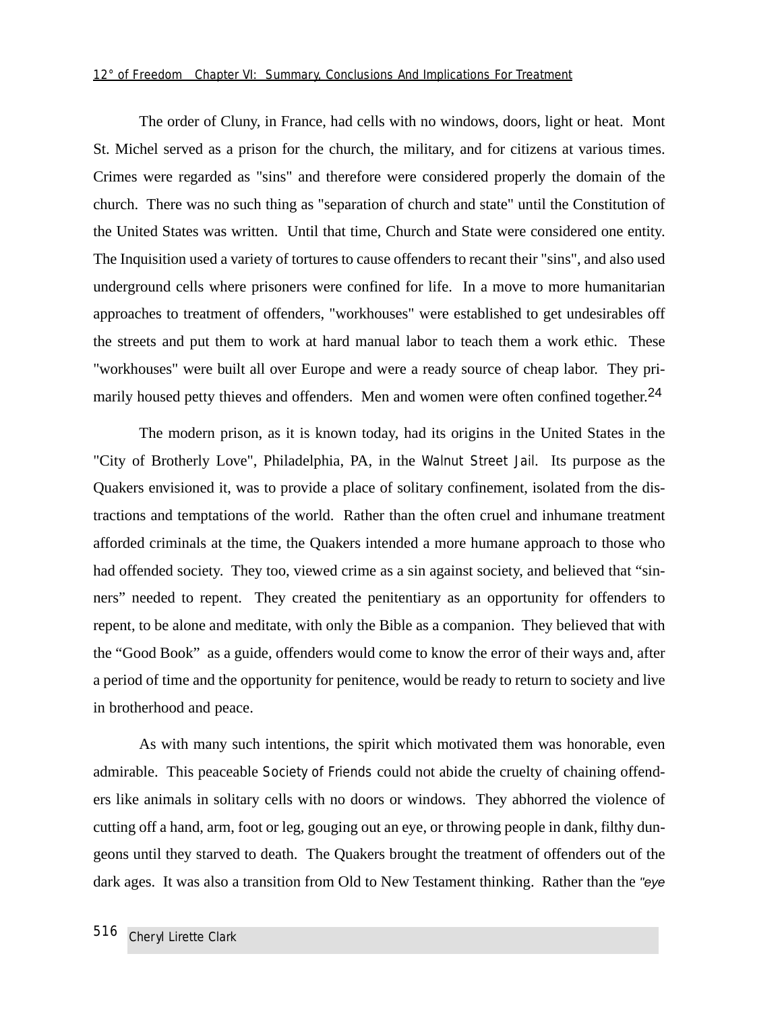#### *12° of Freedom Chapter VI: Summary, Conclusions And Implications For Treatment*

The order of Cluny, in France, had cells with no windows, doors, light or heat. Mont St. Michel served as a prison for the church, the military, and for citizens at various times. Crimes were regarded as "sins" and therefore were considered properly the domain of the church. There was no such thing as "separation of church and state" until the Constitution of the United States was written. Until that time, Church and State were considered one entity. The Inquisition used a variety of tortures to cause offenders to recant their "sins", and also used underground cells where prisoners were confined for life. In a move to more humanitarian approaches to treatment of offenders, "workhouses" were established to get undesirables off the streets and put them to work at hard manual labor to teach them a work ethic. These "workhouses" were built all over Europe and were a ready source of cheap labor. They primarily housed petty thieves and offenders. Men and women were often confined together.<sup>24</sup>

The modern prison, as it is known today, had its origins in the United States in the "City of Brotherly Love", Philadelphia, PA, in the Walnut Street Jail. Its purpose as the Quakers envisioned it, was to provide a place of solitary confinement, isolated from the distractions and temptations of the world. Rather than the often cruel and inhumane treatment afforded criminals at the time, the Quakers intended a more humane approach to those who had offended society. They too, viewed crime as a sin against society, and believed that "sinners" needed to repent. They created the penitentiary as an opportunity for offenders to repent, to be alone and meditate, with only the Bible as a companion. They believed that with the "Good Book" as a guide, offenders would come to know the error of their ways and, after a period of time and the opportunity for penitence, would be ready to return to society and live in brotherhood and peace.

As with many such intentions, the spirit which motivated them was honorable, even admirable. This peaceable Society of Friends could not abide the cruelty of chaining offenders like animals in solitary cells with no doors or windows. They abhorred the violence of cutting off a hand, arm, foot or leg, gouging out an eye, or throwing people in dank, filthy dungeons until they starved to death. The Quakers brought the treatment of offenders out of the dark ages. It was also a transition from Old to New Testament thinking. Rather than the "eye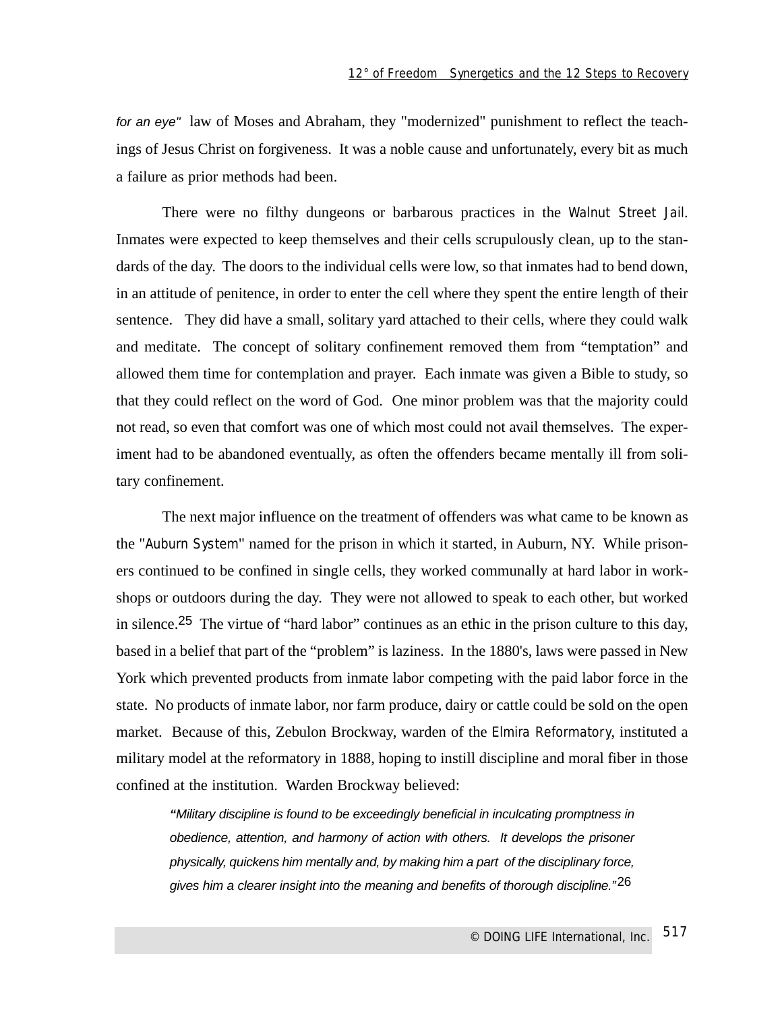for an eye" law of Moses and Abraham, they "modernized" punishment to reflect the teachings of Jesus Christ on forgiveness. It was a noble cause and unfortunately, every bit as much a failure as prior methods had been.

There were no filthy dungeons or barbarous practices in the Walnut Street Jail. Inmates were expected to keep themselves and their cells scrupulously clean, up to the standards of the day. The doors to the individual cells were low, so that inmates had to bend down, in an attitude of penitence, in order to enter the cell where they spent the entire length of their sentence. They did have a small, solitary yard attached to their cells, where they could walk and meditate. The concept of solitary confinement removed them from "temptation" and allowed them time for contemplation and prayer. Each inmate was given a Bible to study, so that they could reflect on the word of God. One minor problem was that the majority could not read, so even that comfort was one of which most could not avail themselves. The experiment had to be abandoned eventually, as often the offenders became mentally ill from solitary confinement.

The next major influence on the treatment of offenders was what came to be known as the "Auburn System" named for the prison in which it started, in Auburn, NY. While prisoners continued to be confined in single cells, they worked communally at hard labor in workshops or outdoors during the day. They were not allowed to speak to each other, but worked in silence.25 The virtue of "hard labor" continues as an ethic in the prison culture to this day, based in a belief that part of the "problem" is laziness. In the 1880's, laws were passed in New York which prevented products from inmate labor competing with the paid labor force in the state. No products of inmate labor, nor farm produce, dairy or cattle could be sold on the open market. Because of this, Zebulon Brockway, warden of the Elmira Reformatory, instituted a military model at the reformatory in 1888, hoping to instill discipline and moral fiber in those confined at the institution. Warden Brockway believed:

**"**Military discipline is found to be exceedingly beneficial in inculcating promptness in obedience, attention, and harmony of action with others. It develops the prisoner physically, quickens him mentally and, by making him a part of the disciplinary force, gives him a clearer insight into the meaning and benefits of thorough discipline."<sup>26</sup>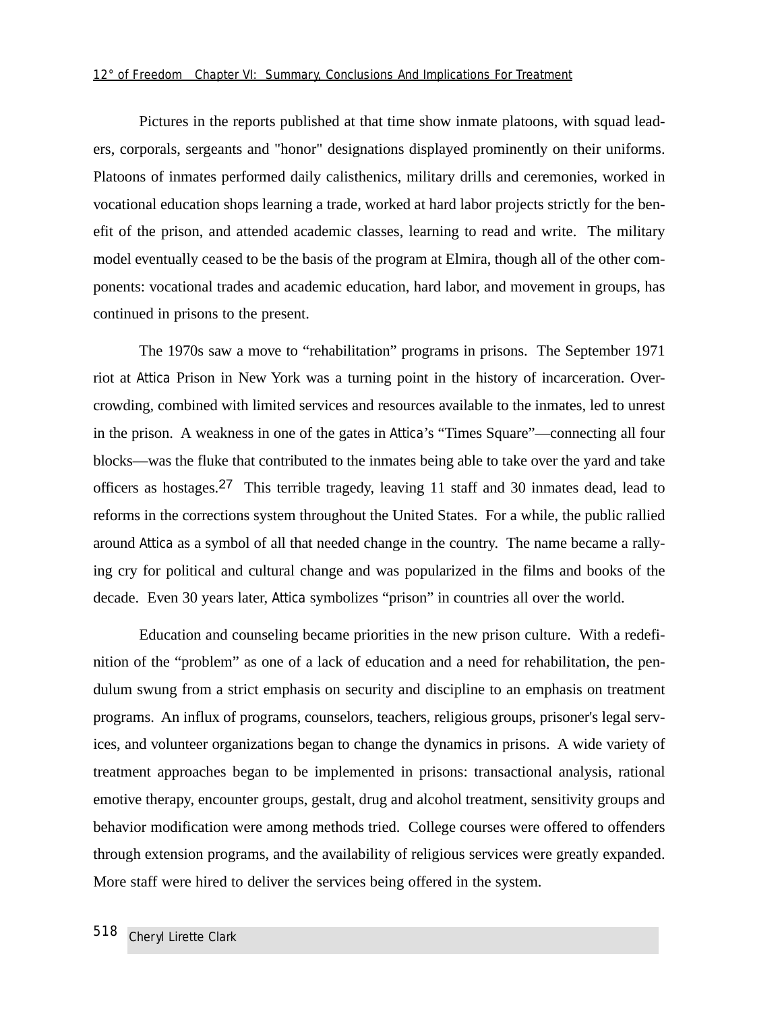Pictures in the reports published at that time show inmate platoons, with squad leaders, corporals, sergeants and "honor" designations displayed prominently on their uniforms. Platoons of inmates performed daily calisthenics, military drills and ceremonies, worked in vocational education shops learning a trade, worked at hard labor projects strictly for the benefit of the prison, and attended academic classes, learning to read and write. The military model eventually ceased to be the basis of the program at Elmira, though all of the other components: vocational trades and academic education, hard labor, and movement in groups, has continued in prisons to the present.

The 1970s saw a move to "rehabilitation" programs in prisons. The September 1971 riot at Attica Prison in New York was a turning point in the history of incarceration. Overcrowding, combined with limited services and resources available to the inmates, led to unrest in the prison. A weakness in one of the gates in Attica's "Times Square"—connecting all four blocks—was the fluke that contributed to the inmates being able to take over the yard and take officers as hostages.27 This terrible tragedy, leaving 11 staff and 30 inmates dead, lead to reforms in the corrections system throughout the United States. For a while, the public rallied around Attica as a symbol of all that needed change in the country. The name became a rallying cry for political and cultural change and was popularized in the films and books of the decade. Even 30 years later, Attica symbolizes "prison" in countries all over the world.

Education and counseling became priorities in the new prison culture. With a redefinition of the "problem" as one of a lack of education and a need for rehabilitation, the pendulum swung from a strict emphasis on security and discipline to an emphasis on treatment programs. An influx of programs, counselors, teachers, religious groups, prisoner's legal services, and volunteer organizations began to change the dynamics in prisons. A wide variety of treatment approaches began to be implemented in prisons: transactional analysis, rational emotive therapy, encounter groups, gestalt, drug and alcohol treatment, sensitivity groups and behavior modification were among methods tried. College courses were offered to offenders through extension programs, and the availability of religious services were greatly expanded. More staff were hired to deliver the services being offered in the system.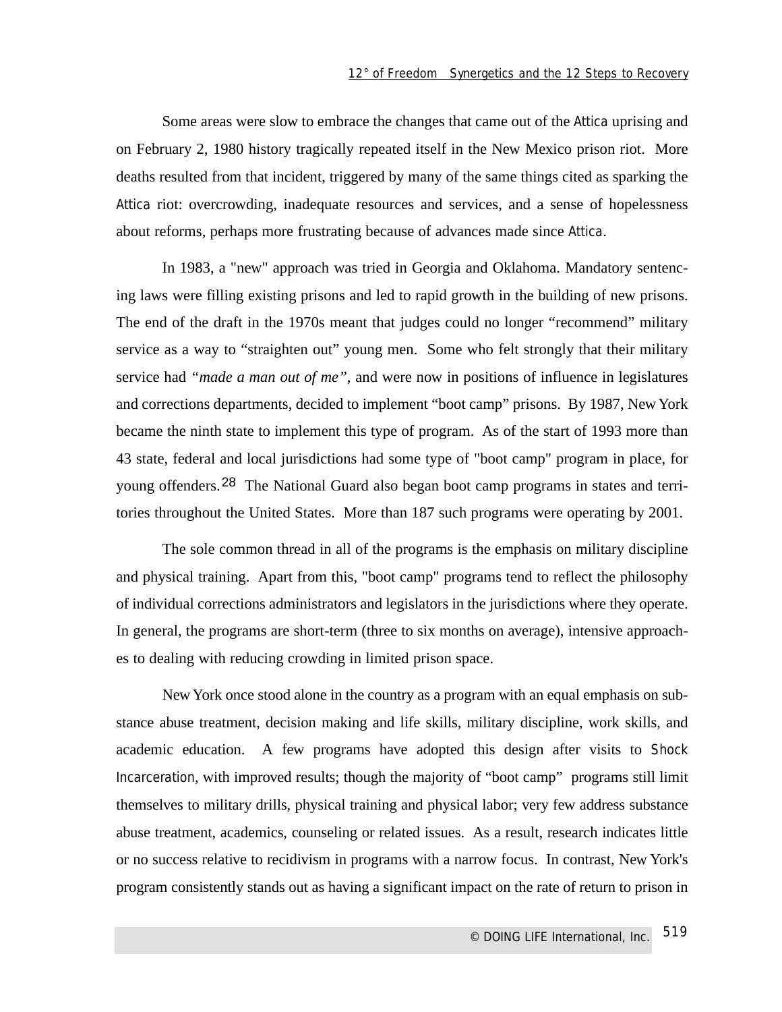Some areas were slow to embrace the changes that came out of the Attica uprising and on February 2, 1980 history tragically repeated itself in the New Mexico prison riot. More deaths resulted from that incident, triggered by many of the same things cited as sparking the Attica riot: overcrowding, inadequate resources and services, and a sense of hopelessness about reforms, perhaps more frustrating because of advances made since Attica.

In 1983, a "new" approach was tried in Georgia and Oklahoma. Mandatory sentencing laws were filling existing prisons and led to rapid growth in the building of new prisons. The end of the draft in the 1970s meant that judges could no longer "recommend" military service as a way to "straighten out" young men. Some who felt strongly that their military service had *"made a man out of me"*, and were now in positions of influence in legislatures and corrections departments, decided to implement "boot camp" prisons. By 1987, New York became the ninth state to implement this type of program. As of the start of 1993 more than 43 state, federal and local jurisdictions had some type of "boot camp" program in place, for young offenders.<sup>28</sup> The National Guard also began boot camp programs in states and territories throughout the United States. More than 187 such programs were operating by 2001.

The sole common thread in all of the programs is the emphasis on military discipline and physical training. Apart from this, "boot camp" programs tend to reflect the philosophy of individual corrections administrators and legislators in the jurisdictions where they operate. In general, the programs are short-term (three to six months on average), intensive approaches to dealing with reducing crowding in limited prison space.

New York once stood alone in the country as a program with an equal emphasis on substance abuse treatment, decision making and life skills, military discipline, work skills, and academic education. A few programs have adopted this design after visits to Shock Incarceration, with improved results; though the majority of "boot camp" programs still limit themselves to military drills, physical training and physical labor; very few address substance abuse treatment, academics, counseling or related issues. As a result, research indicates little or no success relative to recidivism in programs with a narrow focus. In contrast, New York's program consistently stands out as having a significant impact on the rate of return to prison in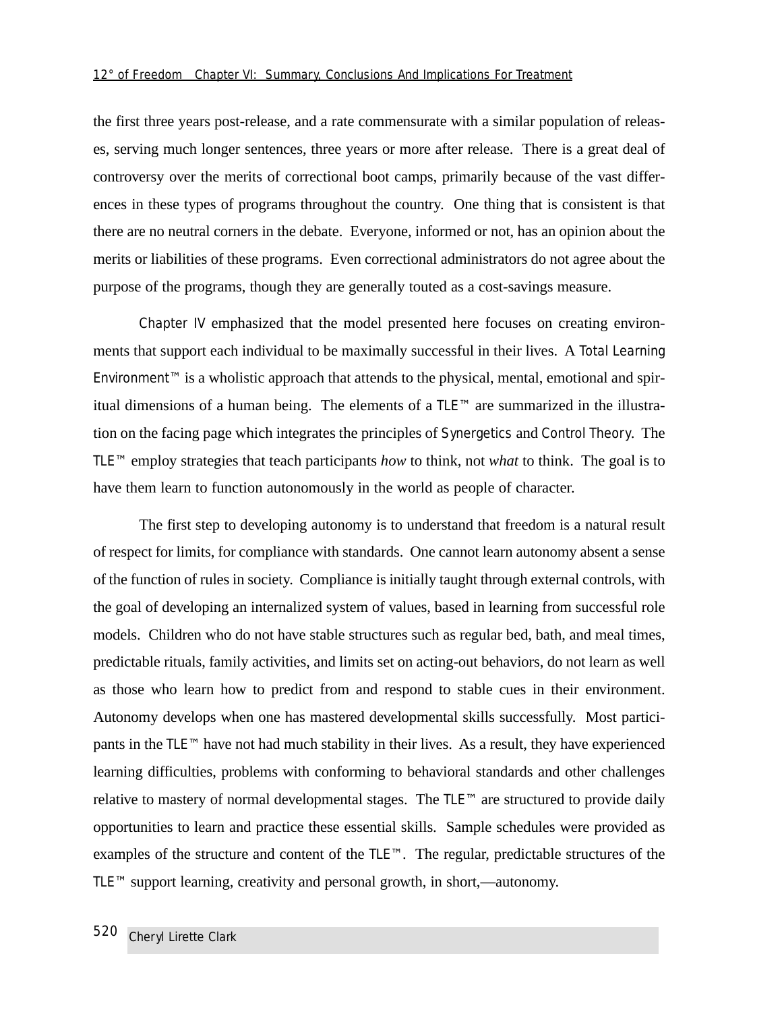the first three years post-release, and a rate commensurate with a similar population of releases, serving much longer sentences, three years or more after release. There is a great deal of controversy over the merits of correctional boot camps, primarily because of the vast differences in these types of programs throughout the country. One thing that is consistent is that there are no neutral corners in the debate. Everyone, informed or not, has an opinion about the merits or liabilities of these programs. Even correctional administrators do not agree about the purpose of the programs, though they are generally touted as a cost-savings measure.

Chapter IV emphasized that the model presented here focuses on creating environments that support each individual to be maximally successful in their lives. A Total Learning Environment™ is a wholistic approach that attends to the physical, mental, emotional and spiritual dimensions of a human being. The elements of a TLE™ are summarized in the illustration on the facing page which integrates the principles of Synergetics and Control Theory. The TLE™ employ strategies that teach participants *how* to think, not *what* to think. The goal is to have them learn to function autonomously in the world as people of character.

The first step to developing autonomy is to understand that freedom is a natural result of respect for limits, for compliance with standards. One cannot learn autonomy absent a sense of the function of rules in society. Compliance is initially taught through external controls, with the goal of developing an internalized system of values, based in learning from successful role models. Children who do not have stable structures such as regular bed, bath, and meal times, predictable rituals, family activities, and limits set on acting-out behaviors, do not learn as well as those who learn how to predict from and respond to stable cues in their environment. Autonomy develops when one has mastered developmental skills successfully. Most participants in the TLE™ have not had much stability in their lives. As a result, they have experienced learning difficulties, problems with conforming to behavioral standards and other challenges relative to mastery of normal developmental stages. The TLE™ are structured to provide daily opportunities to learn and practice these essential skills. Sample schedules were provided as examples of the structure and content of the TLE™. The regular, predictable structures of the TLE™ support learning, creativity and personal growth, in short,—autonomy.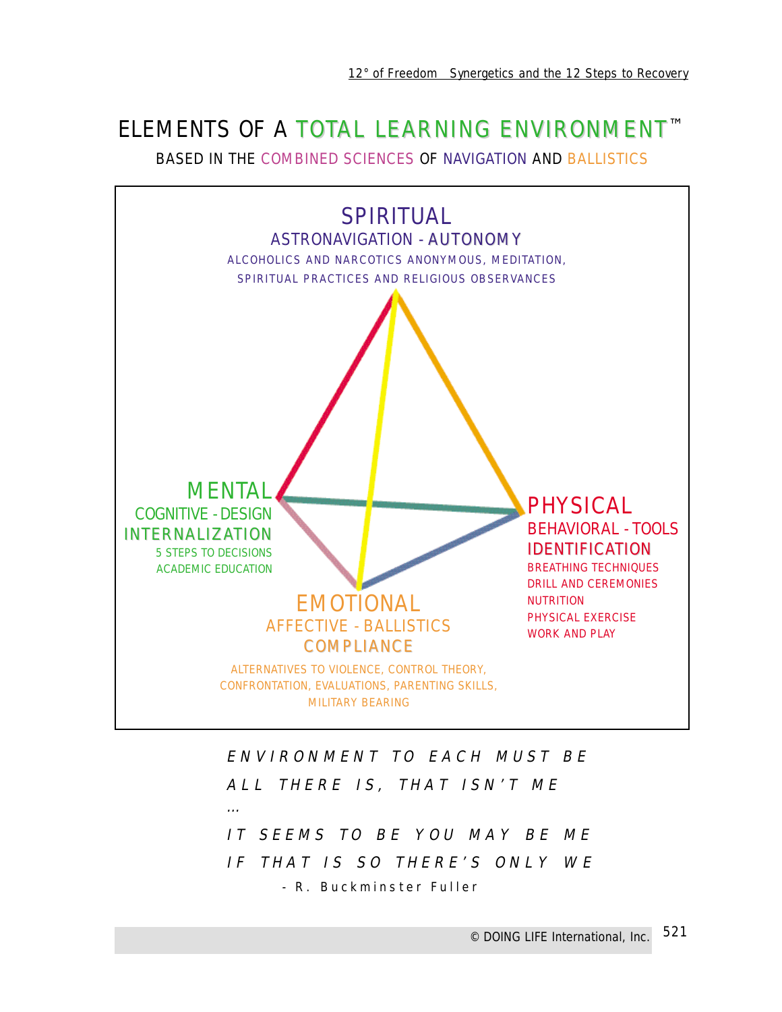# ELEMENTS OF A TOTAL LEARNING ENVIRONMENT™

BASED IN THE COMBINED SCIENCES OF NAVIGATION AND BALLISTICS



ENVIRONMENT TO EACH MUST BE ALL THERE IS, THAT ISN'T ME … IT SEEMS TO BE YOU MAY BE ME IF THAT IS SO THERE'S ONLY WE - R. Buckminster Fuller

> *© DOING LIFE International, Inc.* 521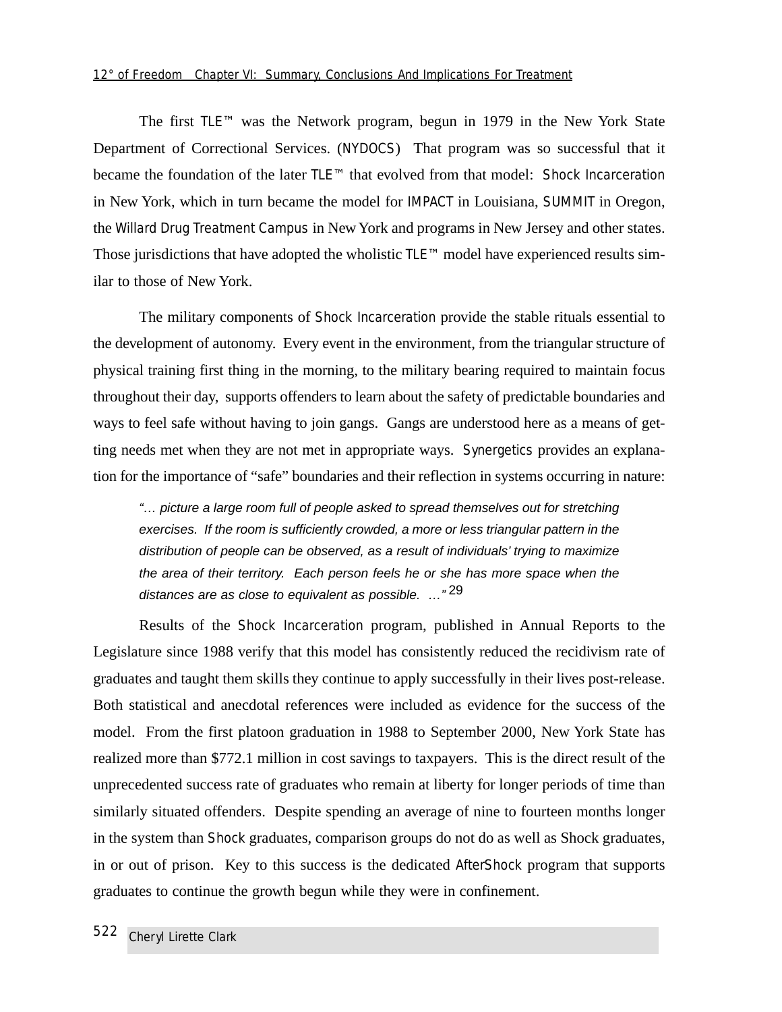The first TLE™ was the Network program, begun in 1979 in the New York State Department of Correctional Services. (NYDOCS) That program was so successful that it became the foundation of the later TLE™ that evolved from that model: Shock Incarceration in New York, which in turn became the model for IMPACT in Louisiana, SUMMIT in Oregon, the Willard Drug Treatment Campus in New York and programs in New Jersey and other states. Those jurisdictions that have adopted the wholistic TLE™ model have experienced results similar to those of New York.

The military components of Shock Incarceration provide the stable rituals essential to the development of autonomy. Every event in the environment, from the triangular structure of physical training first thing in the morning, to the military bearing required to maintain focus throughout their day, supports offenders to learn about the safety of predictable boundaries and ways to feel safe without having to join gangs. Gangs are understood here as a means of getting needs met when they are not met in appropriate ways. Synergetics provides an explanation for the importance of "safe" boundaries and their reflection in systems occurring in nature:

"… picture a large room full of people asked to spread themselves out for stretching exercises. If the room is sufficiently crowded, a more or less triangular pattern in the distribution of people can be observed, as a result of individuals' trying to maximize the area of their territory. Each person feels he or she has more space when the distances are as close to equivalent as possible. ..."<sup>29</sup>

Results of the Shock Incarceration program, published in Annual Reports to the Legislature since 1988 verify that this model has consistently reduced the recidivism rate of graduates and taught them skills they continue to apply successfully in their lives post-release. Both statistical and anecdotal references were included as evidence for the success of the model. From the first platoon graduation in 1988 to September 2000, New York State has realized more than \$772.1 million in cost savings to taxpayers. This is the direct result of the unprecedented success rate of graduates who remain at liberty for longer periods of time than similarly situated offenders. Despite spending an average of nine to fourteen months longer in the system than Shock graduates, comparison groups do not do as well as Shock graduates, in or out of prison. Key to this success is the dedicated *AfterShock* program that supports graduates to continue the growth begun while they were in confinement.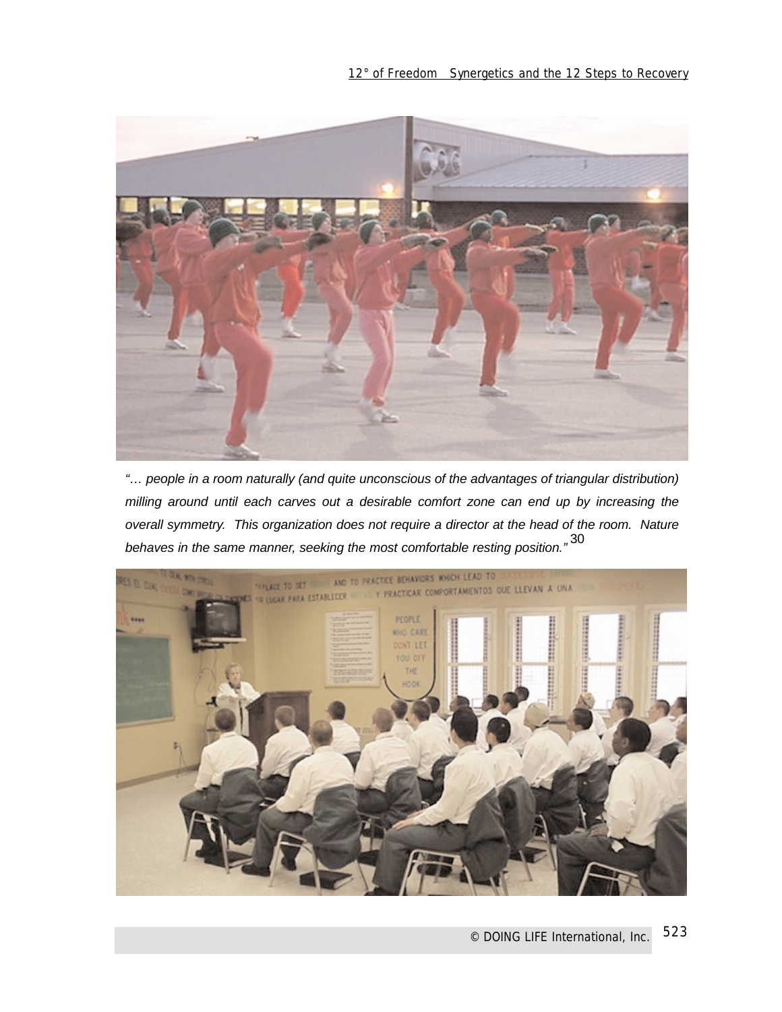

"… people in a room naturally (and quite unconscious of the advantages of triangular distribution) milling around until each carves out a desirable comfort zone can end up by increasing the overall symmetry. This organization does not require a director at the head of the room. Nature behaves in the same manner, seeking the most comfortable resting position." $30$ 

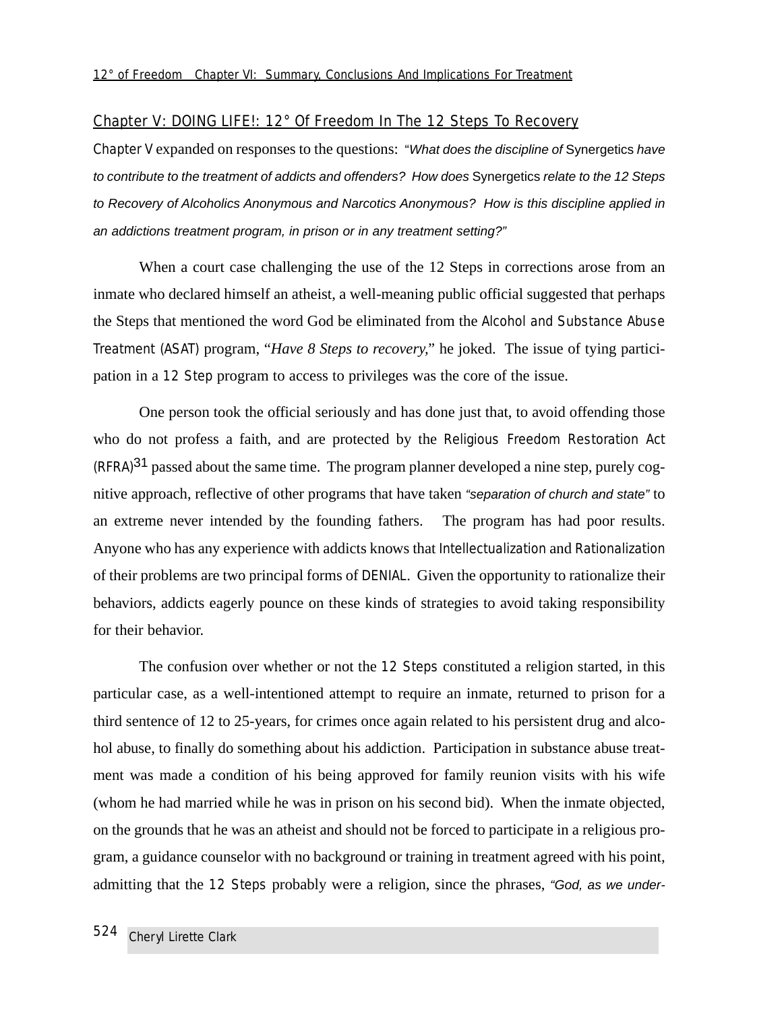#### Chapter V: DOING LIFE!: 12° Of Freedom In The 12 Steps To Recovery

Chapter V expanded on responses to the questions: "What does the discipline of Synergetics have to contribute to the treatment of addicts and offenders? How does Synergetics relate to the 12 Steps to Recovery of Alcoholics Anonymous and Narcotics Anonymous? How is this discipline applied in an addictions treatment program, in prison or in any treatment setting?"

When a court case challenging the use of the 12 Steps in corrections arose from an inmate who declared himself an atheist, a well-meaning public official suggested that perhaps the Steps that mentioned the word God be eliminated from the Alcohol and Substance Abuse Treatment (ASAT) program, "*Have 8 Steps to recovery,"* he joked. The issue of tying participation in a 12 Step program to access to privileges was the core of the issue.

One person took the official seriously and has done just that, to avoid offending those who do not profess a faith, and are protected by the Religious Freedom Restoration Act  $(RFRA)<sup>31</sup>$  passed about the same time. The program planner developed a nine step, purely cognitive approach, reflective of other programs that have taken "separation of church and state" to an extreme never intended by the founding fathers. The program has had poor results. Anyone who has any experience with addicts knows that Intellectualization and Rationalization of their problems are two principal forms of DENIAL. Given the opportunity to rationalize their behaviors, addicts eagerly pounce on these kinds of strategies to avoid taking responsibility for their behavior.

The confusion over whether or not the 12 Steps constituted a religion started, in this particular case, as a well-intentioned attempt to require an inmate, returned to prison for a third sentence of 12 to 25-years, for crimes once again related to his persistent drug and alcohol abuse, to finally do something about his addiction. Participation in substance abuse treatment was made a condition of his being approved for family reunion visits with his wife (whom he had married while he was in prison on his second bid). When the inmate objected, on the grounds that he was an atheist and should not be forced to participate in a religious program, a guidance counselor with no background or training in treatment agreed with his point, admitting that the 12 Steps probably were a religion, since the phrases, "God, as we under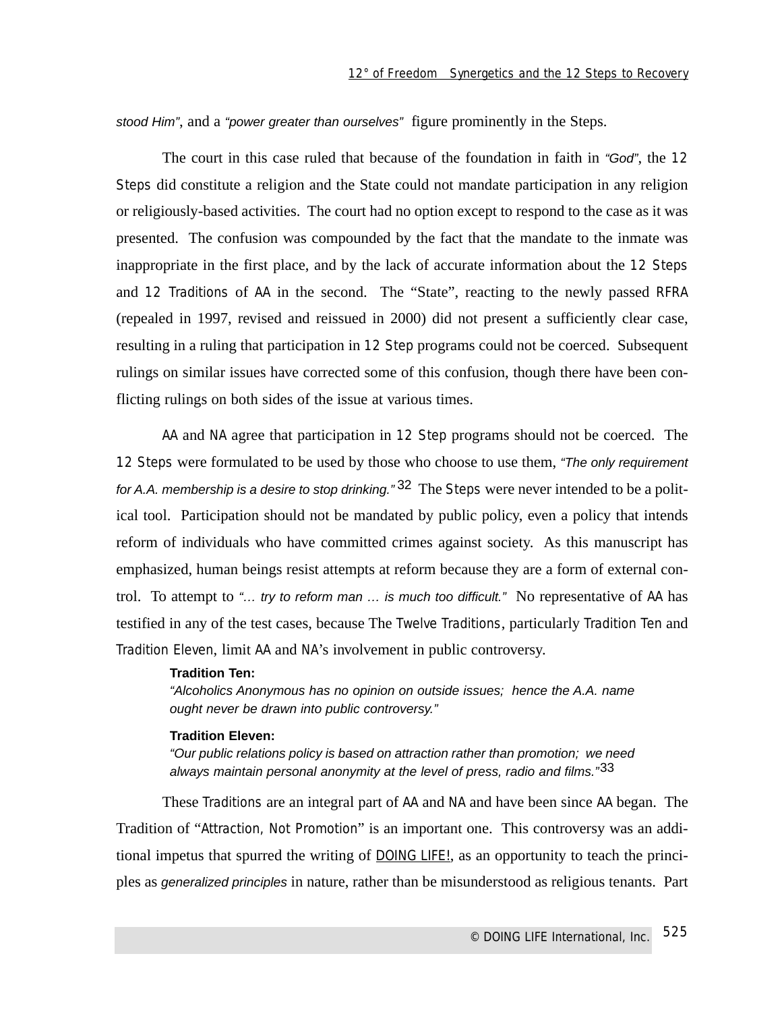stood Him", and a "power greater than ourselves" figure prominently in the Steps.

The court in this case ruled that because of the foundation in faith in "God", the 12 Steps did constitute a religion and the State could not mandate participation in any religion or religiously-based activities. The court had no option except to respond to the case as it was presented. The confusion was compounded by the fact that the mandate to the inmate was inappropriate in the first place, and by the lack of accurate information about the 12 Steps and 12 Traditions of AA in the second. The "State", reacting to the newly passed RFRA (repealed in 1997, revised and reissued in 2000) did not present a sufficiently clear case, resulting in a ruling that participation in 12 Step programs could not be coerced. Subsequent rulings on similar issues have corrected some of this confusion, though there have been conflicting rulings on both sides of the issue at various times.

AA and NA agree that participation in 12 Step programs should not be coerced. The 12 Steps were formulated to be used by those who choose to use them, "The only requirement" for A.A. membership is a desire to stop drinking."  $32$  The Steps were never intended to be a political tool. Participation should not be mandated by public policy, even a policy that intends reform of individuals who have committed crimes against society. As this manuscript has emphasized, human beings resist attempts at reform because they are a form of external control. To attempt to "… try to reform man … is much too difficult." No representative of AA has testified in any of the test cases, because The Twelve Traditions, particularly Tradition Ten and Tradition Eleven, limit AA and NA's involvement in public controversy.

#### **Tradition Ten:**

"Alcoholics Anonymous has no opinion on outside issues; hence the A.A. name ought never be drawn into public controversy."

#### **Tradition Eleven:**

"Our public relations policy is based on attraction rather than promotion; we need always maintain personal anonymity at the level of press, radio and films."<sup>33</sup>

These Traditions are an integral part of AA and NA and have been since AA began. The Tradition of "Attraction, Not Promotion" is an important one. This controversy was an additional impetus that spurred the writing of DOING LIFE!, as an opportunity to teach the principles as generalized principles in nature, rather than be misunderstood as religious tenants. Part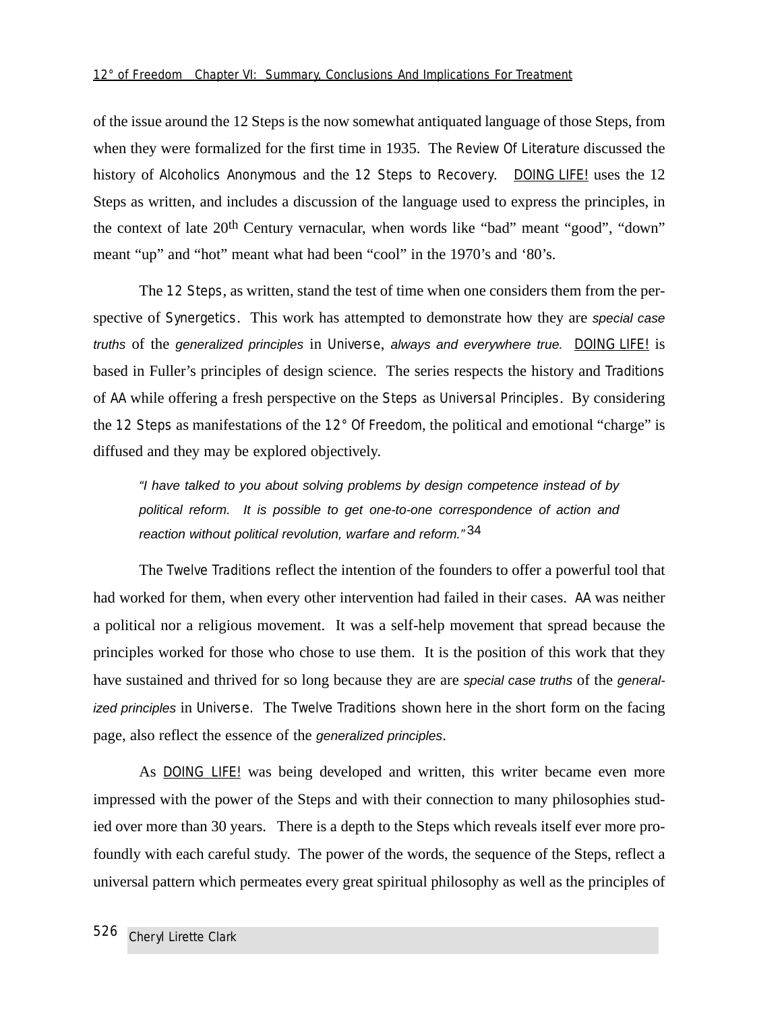of the issue around the 12 Steps is the now somewhat antiquated language of those Steps, from when they were formalized for the first time in 1935. The Review Of Literature discussed the history of Alcoholics Anonymous and the 12 Steps to Recovery. DOING LIFE! uses the 12 Steps as written, and includes a discussion of the language used to express the principles, in the context of late 20th Century vernacular, when words like "bad" meant "good", "down" meant "up" and "hot" meant what had been "cool" in the 1970's and '80's.

The 12 Steps, as written, stand the test of time when one considers them from the perspective of Synergetics. This work has attempted to demonstrate how they are special case truths of the generalized principles in Universe, always and everywhere true. DOING LIFE! is based in Fuller's principles of design science. The series respects the history and Traditions of AA while offering a fresh perspective on the Steps as Universal Principles. By considering the 12 Steps as manifestations of the 12° Of Freedom, the political and emotional "charge" is diffused and they may be explored objectively.

"I have talked to you about solving problems by design competence instead of by political reform. It is possible to get one-to-one correspondence of action and reaction without political revolution, warfare and reform."34

The Twelve Traditions reflect the intention of the founders to offer a powerful tool that had worked for them, when every other intervention had failed in their cases. AA was neither a political nor a religious movement. It was a self-help movement that spread because the principles worked for those who chose to use them. It is the position of this work that they have sustained and thrived for so long because they are are special case truths of the generalized principles in Universe. The Twelve Traditions shown here in the short form on the facing page, also reflect the essence of the generalized principles.

As DOING LIFE! was being developed and written, this writer became even more impressed with the power of the Steps and with their connection to many philosophies studied over more than 30 years. There is a depth to the Steps which reveals itself ever more profoundly with each careful study. The power of the words, the sequence of the Steps, reflect a universal pattern which permeates every great spiritual philosophy as well as the principles of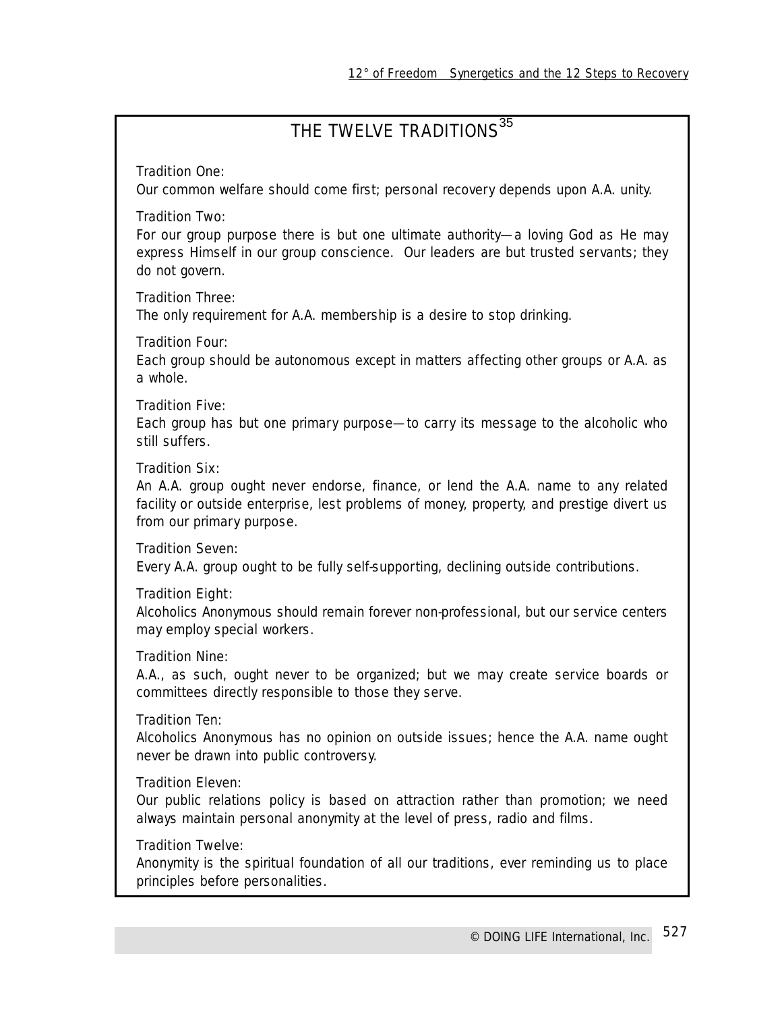# THE TWELVE TRADITIONS<sup>35</sup>

## Tradition One:

*Our common welfare should come first; personal recovery depends upon A.A. unity.*

### Tradition Two:

*For our group purpose there is but one ultimate authority—a loving God as He may express Himself in our group conscience. Our leaders are but trusted servants; they do not govern.*

## Tradition Three:

*The only requirement for A.A. membership is a desire to stop drinking.*

### Tradition Four:

*Each group should be autonomous except in matters affecting other groups or A.A. as a whole.*

### Tradition Five:

*Each group has but one primary purpose—to carry its message to the alcoholic who still suffers.*

### Tradition Six:

*An A.A. group ought never endorse, finance, or lend the A.A. name to any related facility or outside enterprise, lest problems of money, property, and prestige divert us from our primary purpose.*

### Tradition Seven:

*Every A.A. group ought to be fully self-supporting, declining outside contributions.*

### Tradition Eight:

*Alcoholics Anonymous should remain forever non-professional, but our service centers may employ special workers.*

### Tradition Nine:

*A.A., as such, ought never to be organized; but we may create service boards or committees directly responsible to those they serve.*

### Tradition Ten:

*Alcoholics Anonymous has no opinion on outside issues; hence the A.A. name ought never be drawn into public controversy.*

### Tradition Eleven:

*Our public relations policy is based on attraction rather than promotion; we need always maintain personal anonymity at the level of press, radio and films.*

### Tradition Twelve:

*Anonymity is the spiritual foundation of all our traditions, ever reminding us to place principles before personalities.*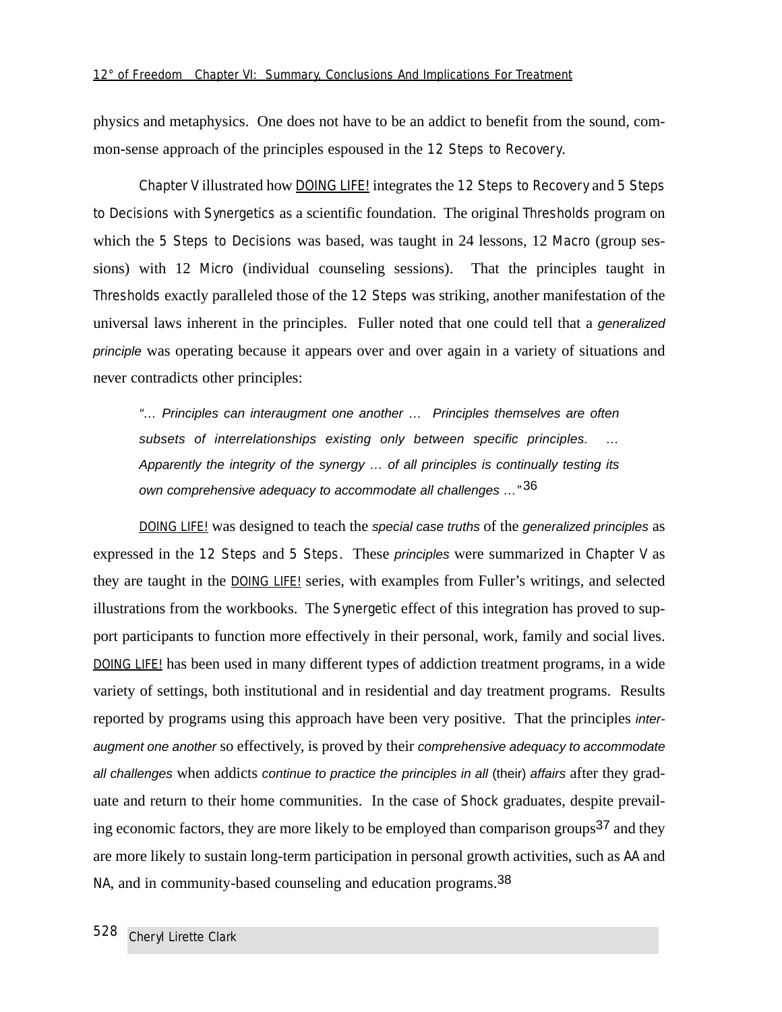physics and metaphysics. One does not have to be an addict to benefit from the sound, common-sense approach of the principles espoused in the 12 Steps to Recovery.

Chapter V illustrated how DOING LIFE! integrates the 12 Steps to Recovery and 5 Steps to Decisions with Synergetics as a scientific foundation. The original Thresholds program on which the 5 Steps to Decisions was based, was taught in 24 lessons, 12 Macro (group sessions) with 12 Micro (individual counseling sessions). That the principles taught in Thresholds exactly paralleled those of the 12 Steps was striking, another manifestation of the universal laws inherent in the principles. Fuller noted that one could tell that a generalized principle was operating because it appears over and over again in a variety of situations and never contradicts other principles:

"… Principles can interaugment one another … Principles themselves are often subsets of interrelationships existing only between specific principles. Apparently the integrity of the synergy … of all principles is continually testing its own comprehensive adequacy to accommodate all challenges ..."<sup>36</sup>

DOING LIFE! was designed to teach the special case truths of the generalized principles as expressed in the 12 Steps and 5 Steps. These principles were summarized in Chapter V as they are taught in the **DOING LIFE!** series, with examples from Fuller's writings, and selected illustrations from the workbooks. The Synergetic effect of this integration has proved to support participants to function more effectively in their personal, work, family and social lives. DOING LIFE! has been used in many different types of addiction treatment programs, in a wide variety of settings, both institutional and in residential and day treatment programs. Results reported by programs using this approach have been very positive. That the principles interaugment one another so effectively, is proved by their comprehensive adequacy to accommodate all challenges when addicts continue to practice the principles in all (their) affairs after they graduate and return to their home communities. In the case of Shock graduates, despite prevailing economic factors, they are more likely to be employed than comparison groups<sup>37</sup> and they are more likely to sustain long-term participation in personal growth activities, such as AA and NA, and in community-based counseling and education programs.<sup>38</sup>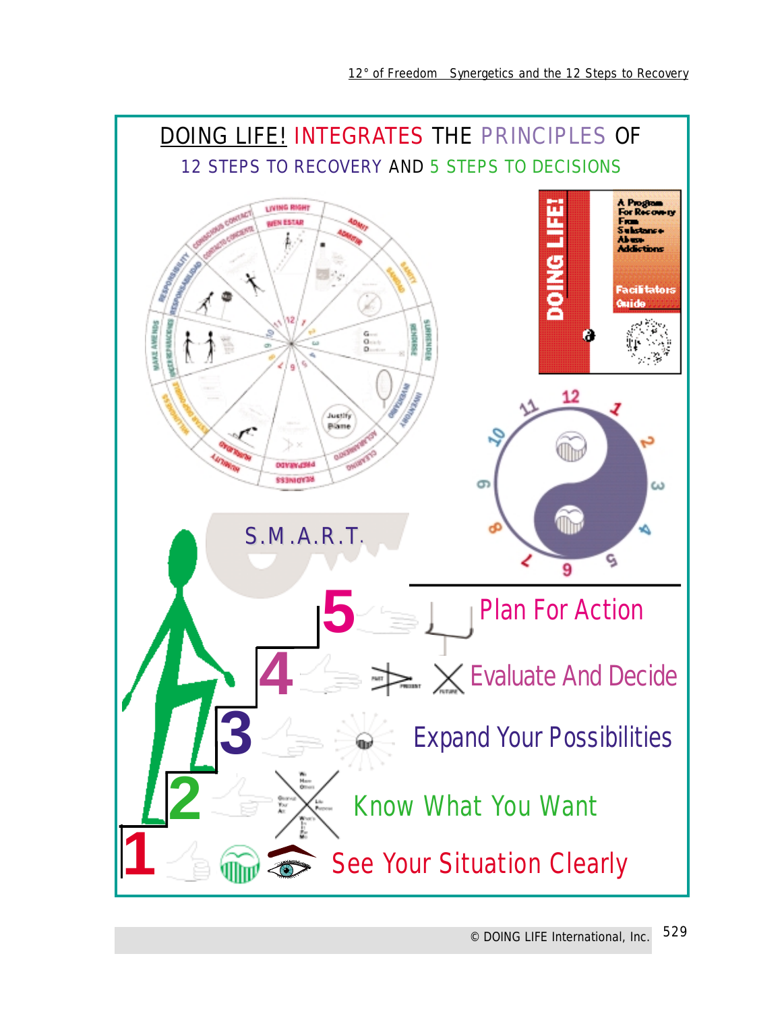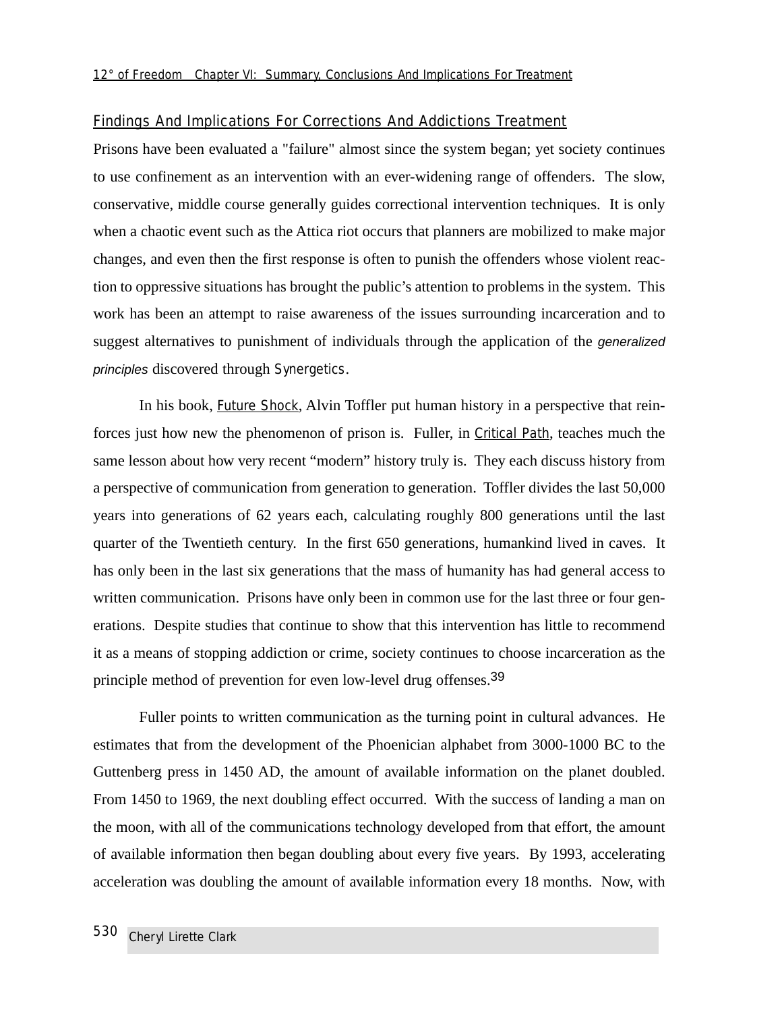#### Findings And Implications For Corrections And Addictions Treatment

Prisons have been evaluated a "failure" almost since the system began; yet society continues to use confinement as an intervention with an ever-widening range of offenders. The slow, conservative, middle course generally guides correctional intervention techniques. It is only when a chaotic event such as the Attica riot occurs that planners are mobilized to make major changes, and even then the first response is often to punish the offenders whose violent reaction to oppressive situations has brought the public's attention to problems in the system. This work has been an attempt to raise awareness of the issues surrounding incarceration and to suggest alternatives to punishment of individuals through the application of the generalized principles discovered through Synergetics.

In his book, Future Shock, Alvin Toffler put human history in a perspective that reinforces just how new the phenomenon of prison is. Fuller, in Critical Path, teaches much the same lesson about how very recent "modern" history truly is. They each discuss history from a perspective of communication from generation to generation. Toffler divides the last 50,000 years into generations of 62 years each, calculating roughly 800 generations until the last quarter of the Twentieth century. In the first 650 generations, humankind lived in caves. It has only been in the last six generations that the mass of humanity has had general access to written communication. Prisons have only been in common use for the last three or four generations. Despite studies that continue to show that this intervention has little to recommend it as a means of stopping addiction or crime, society continues to choose incarceration as the principle method of prevention for even low-level drug offenses.39

Fuller points to written communication as the turning point in cultural advances. He estimates that from the development of the Phoenician alphabet from 3000-1000 BC to the Guttenberg press in 1450 AD, the amount of available information on the planet doubled. From 1450 to 1969, the next doubling effect occurred. With the success of landing a man on the moon, with all of the communications technology developed from that effort, the amount of available information then began doubling about every five years. By 1993, accelerating acceleration was doubling the amount of available information every 18 months. Now, with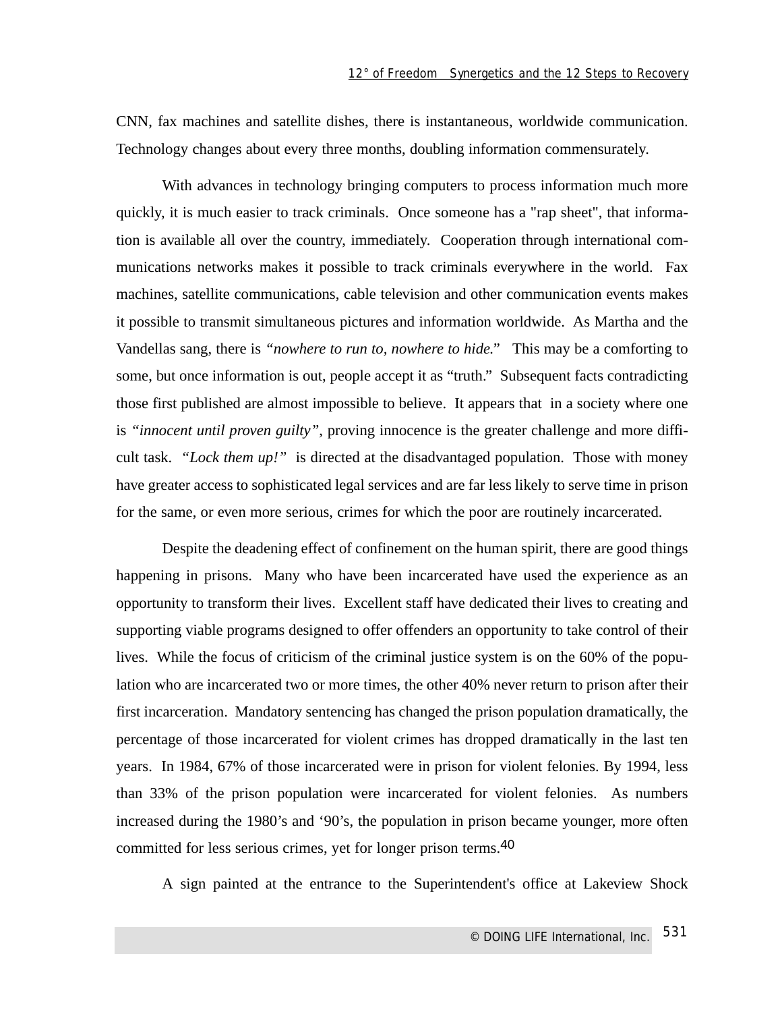CNN, fax machines and satellite dishes, there is instantaneous, worldwide communication. Technology changes about every three months, doubling information commensurately.

With advances in technology bringing computers to process information much more quickly, it is much easier to track criminals. Once someone has a "rap sheet", that information is available all over the country, immediately. Cooperation through international communications networks makes it possible to track criminals everywhere in the world. Fax machines, satellite communications, cable television and other communication events makes it possible to transmit simultaneous pictures and information worldwide. As Martha and the Vandellas sang, there is *"nowhere to run to, nowhere to hide."* This may be a comforting to some, but once information is out, people accept it as "truth." Subsequent facts contradicting those first published are almost impossible to believe. It appears that in a society where one is *"innocent until proven guilty"*, proving innocence is the greater challenge and more difficult task. *"Lock them up!"* is directed at the disadvantaged population. Those with money have greater access to sophisticated legal services and are far less likely to serve time in prison for the same, or even more serious, crimes for which the poor are routinely incarcerated.

Despite the deadening effect of confinement on the human spirit, there are good things happening in prisons. Many who have been incarcerated have used the experience as an opportunity to transform their lives. Excellent staff have dedicated their lives to creating and supporting viable programs designed to offer offenders an opportunity to take control of their lives. While the focus of criticism of the criminal justice system is on the 60% of the population who are incarcerated two or more times, the other 40% never return to prison after their first incarceration. Mandatory sentencing has changed the prison population dramatically, the percentage of those incarcerated for violent crimes has dropped dramatically in the last ten years. In 1984, 67% of those incarcerated were in prison for violent felonies. By 1994, less than 33% of the prison population were incarcerated for violent felonies. As numbers increased during the 1980's and '90's, the population in prison became younger, more often committed for less serious crimes, yet for longer prison terms.40

A sign painted at the entrance to the Superintendent's office at Lakeview Shock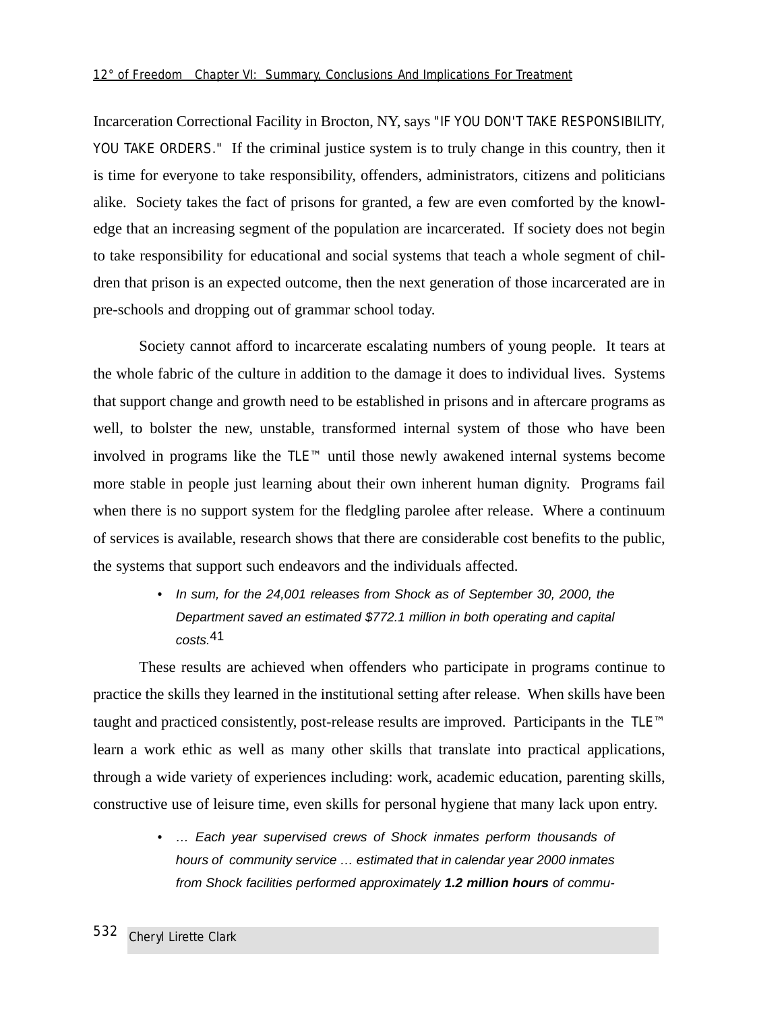Incarceration Correctional Facility in Brocton, NY, says "IF YOU DON'T TAKE RESPONSIBILITY, YOU TAKE ORDERS." If the criminal justice system is to truly change in this country, then it is time for everyone to take responsibility, offenders, administrators, citizens and politicians alike. Society takes the fact of prisons for granted, a few are even comforted by the knowledge that an increasing segment of the population are incarcerated. If society does not begin to take responsibility for educational and social systems that teach a whole segment of children that prison is an expected outcome, then the next generation of those incarcerated are in pre-schools and dropping out of grammar school today.

Society cannot afford to incarcerate escalating numbers of young people. It tears at the whole fabric of the culture in addition to the damage it does to individual lives. Systems that support change and growth need to be established in prisons and in aftercare programs as well, to bolster the new, unstable, transformed internal system of those who have been involved in programs like the TLE™ until those newly awakened internal systems become more stable in people just learning about their own inherent human dignity. Programs fail when there is no support system for the fledgling parolee after release. Where a continuum of services is available, research shows that there are considerable cost benefits to the public, the systems that support such endeavors and the individuals affected.

> • In sum, for the 24,001 releases from Shock as of September 30, 2000, the Department saved an estimated \$772.1 million in both operating and capital costs.41

These results are achieved when offenders who participate in programs continue to practice the skills they learned in the institutional setting after release. When skills have been taught and practiced consistently, post-release results are improved. Participants in the TLE™ learn a work ethic as well as many other skills that translate into practical applications, through a wide variety of experiences including: work, academic education, parenting skills, constructive use of leisure time, even skills for personal hygiene that many lack upon entry.

> • … Each year supervised crews of Shock inmates perform thousands of hours of community service … estimated that in calendar year 2000 inmates from Shock facilities performed approximately **1.2 million hours** of commu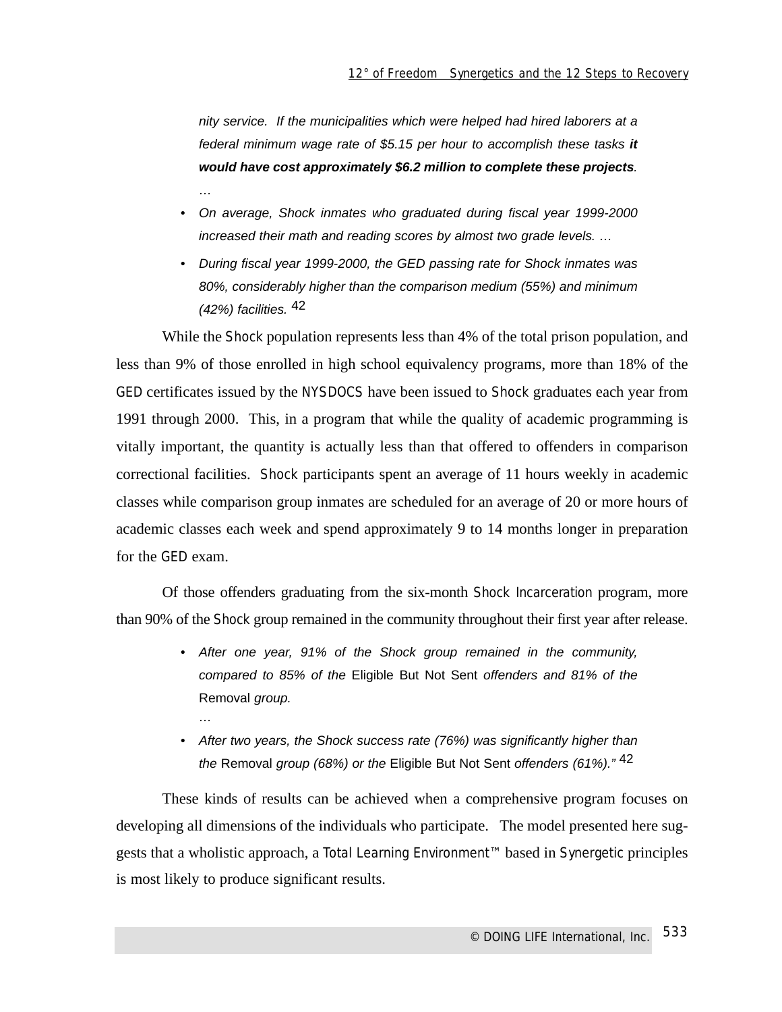nity service. If the municipalities which were helped had hired laborers at a federal minimum wage rate of \$5.15 per hour to accomplish these tasks **it would have cost approximately \$6.2 million to complete these projects**. …

- On average, Shock inmates who graduated during fiscal year 1999-2000 increased their math and reading scores by almost two grade levels. …
- During fiscal year 1999-2000, the GED passing rate for Shock inmates was 80%, considerably higher than the comparison medium (55%) and minimum  $(42%)$  facilities.  $42$

While the Shock population represents less than 4% of the total prison population, and less than 9% of those enrolled in high school equivalency programs, more than 18% of the GED certificates issued by the NYSDOCS have been issued to Shock graduates each year from 1991 through 2000. This, in a program that while the quality of academic programming is vitally important, the quantity is actually less than that offered to offenders in comparison correctional facilities. Shock participants spent an average of 11 hours weekly in academic classes while comparison group inmates are scheduled for an average of 20 or more hours of academic classes each week and spend approximately 9 to 14 months longer in preparation for the GED exam.

Of those offenders graduating from the six-month Shock Incarceration program, more than 90% of the Shock group remained in the community throughout their first year after release.

- After one year, 91% of the Shock group remained in the community, compared to 85% of the Eligible But Not Sent offenders and 81% of the Removal group.
- After two years, the Shock success rate (76%) was significantly higher than the Removal group (68%) or the Eligible But Not Sent offenders (61%)."  $42$

…

These kinds of results can be achieved when a comprehensive program focuses on developing all dimensions of the individuals who participate. The model presented here suggests that a wholistic approach, a Total Learning Environment™ based in Synergetic principles is most likely to produce significant results.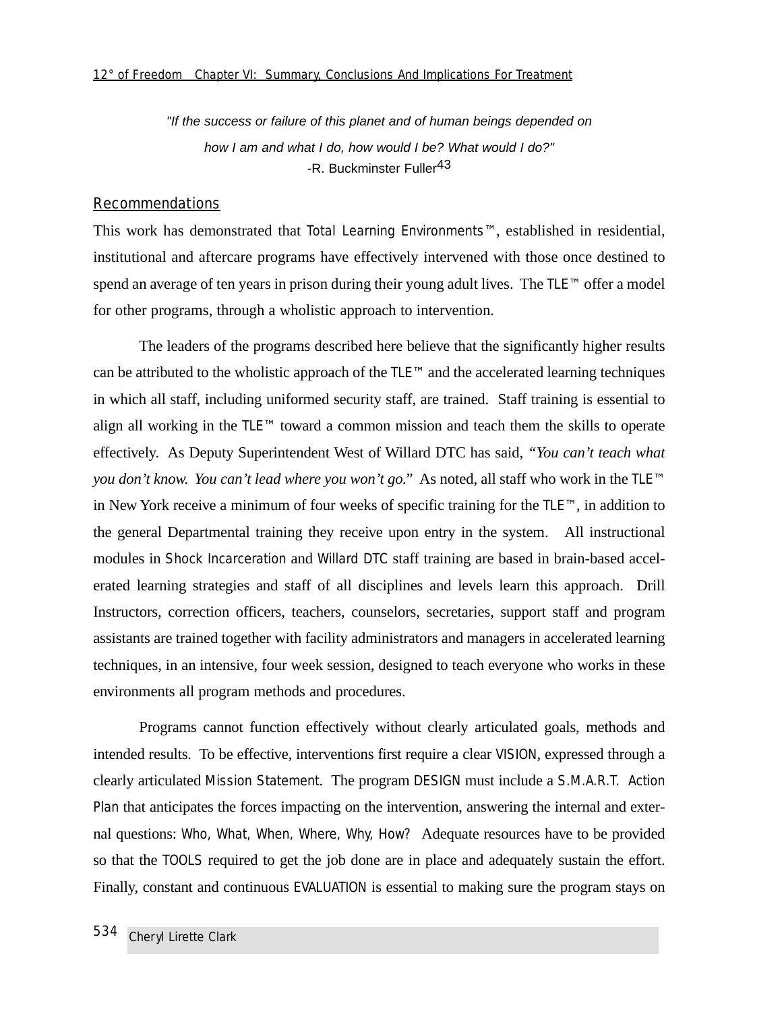"If the success or failure of this planet and of human beings depended on how I am and what I do, how would I be? What would I do?" -R. Buckminster Fuller<sup>43</sup>

#### Recommendations

This work has demonstrated that Total Learning Environments™, established in residential, institutional and aftercare programs have effectively intervened with those once destined to spend an average of ten years in prison during their young adult lives. The TLE™ offer a model for other programs, through a wholistic approach to intervention.

The leaders of the programs described here believe that the significantly higher results can be attributed to the wholistic approach of the TLE™ and the accelerated learning techniques in which all staff, including uniformed security staff, are trained. Staff training is essential to align all working in the TLE™ toward a common mission and teach them the skills to operate effectively. As Deputy Superintendent West of Willard DTC has said, *"You can't teach what you don't know. You can't lead where you won't go."* As noted, all staff who work in the TLE™ in New York receive a minimum of four weeks of specific training for the TLE™, in addition to the general Departmental training they receive upon entry in the system. All instructional modules in Shock Incarceration and Willard DTC staff training are based in brain-based accelerated learning strategies and staff of all disciplines and levels learn this approach. Drill Instructors, correction officers, teachers, counselors, secretaries, support staff and program assistants are trained together with facility administrators and managers in accelerated learning techniques, in an intensive, four week session, designed to teach everyone who works in these environments all program methods and procedures.

Programs cannot function effectively without clearly articulated goals, methods and intended results. To be effective, interventions first require a clear VISION, expressed through a clearly articulated Mission Statement. The program DESIGN must include a S.M.A.R.T. Action Plan that anticipates the forces impacting on the intervention, answering the internal and external questions: *Who, What, When, Where, Why, How?* Adequate resources have to be provided so that the TOOLS required to get the job done are in place and adequately sustain the effort. Finally, constant and continuous EVALUATION is essential to making sure the program stays on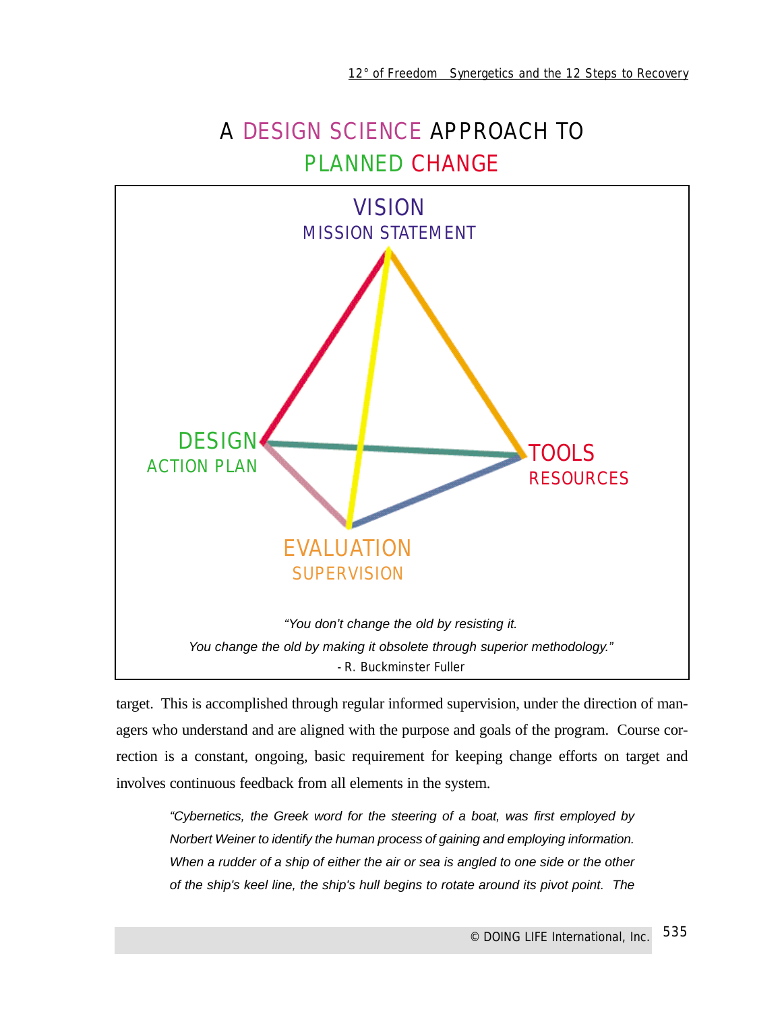# A DESIGN SCIENCE APPROACH TO PLANNED CHANGE



target. This is accomplished through regular informed supervision, under the direction of managers who understand and are aligned with the purpose and goals of the program. Course correction is a constant, ongoing, basic requirement for keeping change efforts on target and involves continuous feedback from all elements in the system.

"Cybernetics, the Greek word for the steering of a boat, was first employed by Norbert Weiner to identify the human process of gaining and employing information. When a rudder of a ship of either the air or sea is angled to one side or the other of the ship's keel line, the ship's hull begins to rotate around its pivot point. The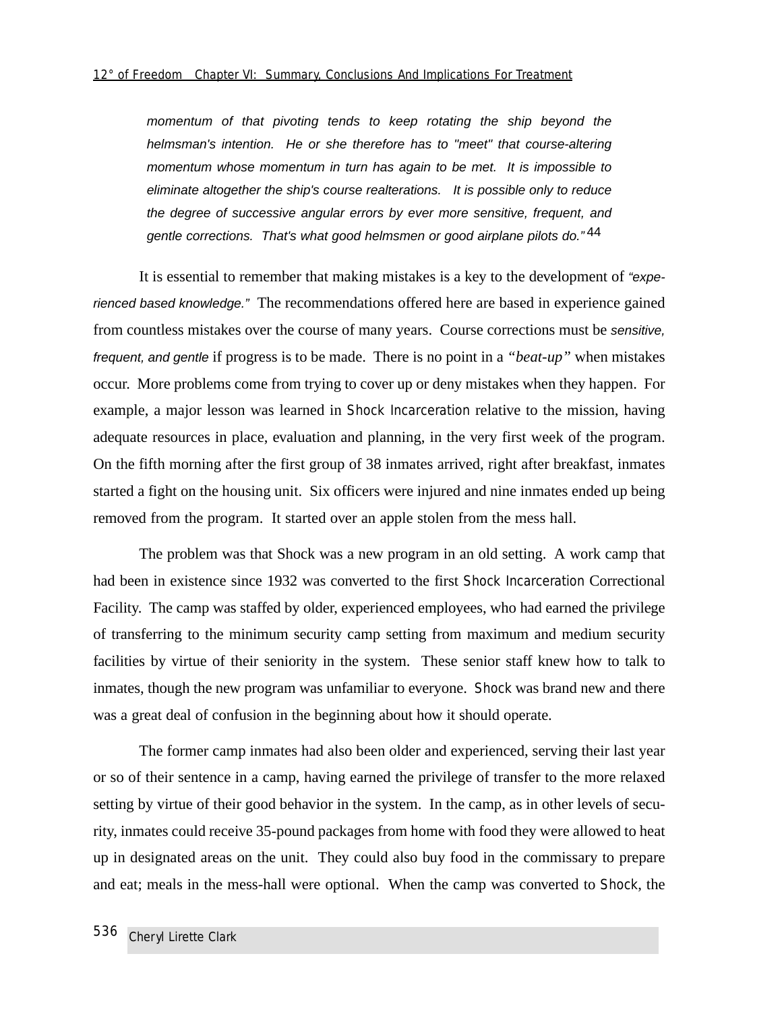momentum of that pivoting tends to keep rotating the ship beyond the helmsman's intention. He or she therefore has to "meet" that course-altering momentum whose momentum in turn has again to be met. It is impossible to eliminate altogether the ship's course realterations. It is possible only to reduce the degree of successive angular errors by ever more sensitive, frequent, and gentle corrections. That's what good helmsmen or good airplane pilots do."44

It is essential to remember that making mistakes is a key to the development of "experienced based knowledge." The recommendations offered here are based in experience gained from countless mistakes over the course of many years. Course corrections must be sensitive, frequent, and gentle if progress is to be made. There is no point in a *"beat-up"* when mistakes occur. More problems come from trying to cover up or deny mistakes when they happen. For example, a major lesson was learned in Shock Incarceration relative to the mission, having adequate resources in place, evaluation and planning, in the very first week of the program. On the fifth morning after the first group of 38 inmates arrived, right after breakfast, inmates started a fight on the housing unit. Six officers were injured and nine inmates ended up being removed from the program. It started over an apple stolen from the mess hall.

The problem was that Shock was a new program in an old setting. A work camp that had been in existence since 1932 was converted to the first Shock Incarceration Correctional Facility. The camp was staffed by older, experienced employees, who had earned the privilege of transferring to the minimum security camp setting from maximum and medium security facilities by virtue of their seniority in the system. These senior staff knew how to talk to inmates, though the new program was unfamiliar to everyone. Shock was brand new and there was a great deal of confusion in the beginning about how it should operate.

The former camp inmates had also been older and experienced, serving their last year or so of their sentence in a camp, having earned the privilege of transfer to the more relaxed setting by virtue of their good behavior in the system. In the camp, as in other levels of security, inmates could receive 35-pound packages from home with food they were allowed to heat up in designated areas on the unit. They could also buy food in the commissary to prepare and eat; meals in the mess-hall were optional. When the camp was converted to Shock, the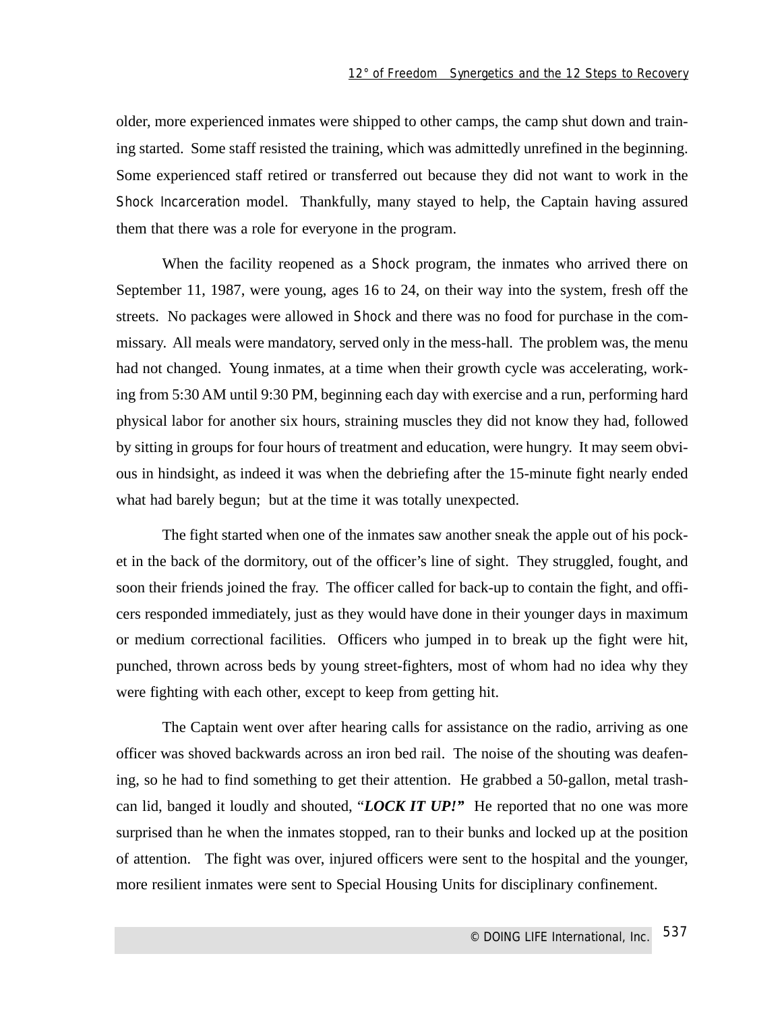older, more experienced inmates were shipped to other camps, the camp shut down and training started. Some staff resisted the training, which was admittedly unrefined in the beginning. Some experienced staff retired or transferred out because they did not want to work in the Shock Incarceration model. Thankfully, many stayed to help, the Captain having assured them that there was a role for everyone in the program.

When the facility reopened as a Shock program, the inmates who arrived there on September 11, 1987, were young, ages 16 to 24, on their way into the system, fresh off the streets. No packages were allowed in Shock and there was no food for purchase in the commissary. All meals were mandatory, served only in the mess-hall. The problem was, the menu had not changed. Young inmates, at a time when their growth cycle was accelerating, working from 5:30 AM until 9:30 PM, beginning each day with exercise and a run, performing hard physical labor for another six hours, straining muscles they did not know they had, followed by sitting in groups for four hours of treatment and education, were hungry. It may seem obvious in hindsight, as indeed it was when the debriefing after the 15-minute fight nearly ended what had barely begun; but at the time it was totally unexpected.

The fight started when one of the inmates saw another sneak the apple out of his pocket in the back of the dormitory, out of the officer's line of sight. They struggled, fought, and soon their friends joined the fray. The officer called for back-up to contain the fight, and officers responded immediately, just as they would have done in their younger days in maximum or medium correctional facilities. Officers who jumped in to break up the fight were hit, punched, thrown across beds by young street-fighters, most of whom had no idea why they were fighting with each other, except to keep from getting hit.

The Captain went over after hearing calls for assistance on the radio, arriving as one officer was shoved backwards across an iron bed rail. The noise of the shouting was deafening, so he had to find something to get their attention. He grabbed a 50-gallon, metal trashcan lid, banged it loudly and shouted, "*LOCK IT UP!"* He reported that no one was more surprised than he when the inmates stopped, ran to their bunks and locked up at the position of attention. The fight was over, injured officers were sent to the hospital and the younger, more resilient inmates were sent to Special Housing Units for disciplinary confinement.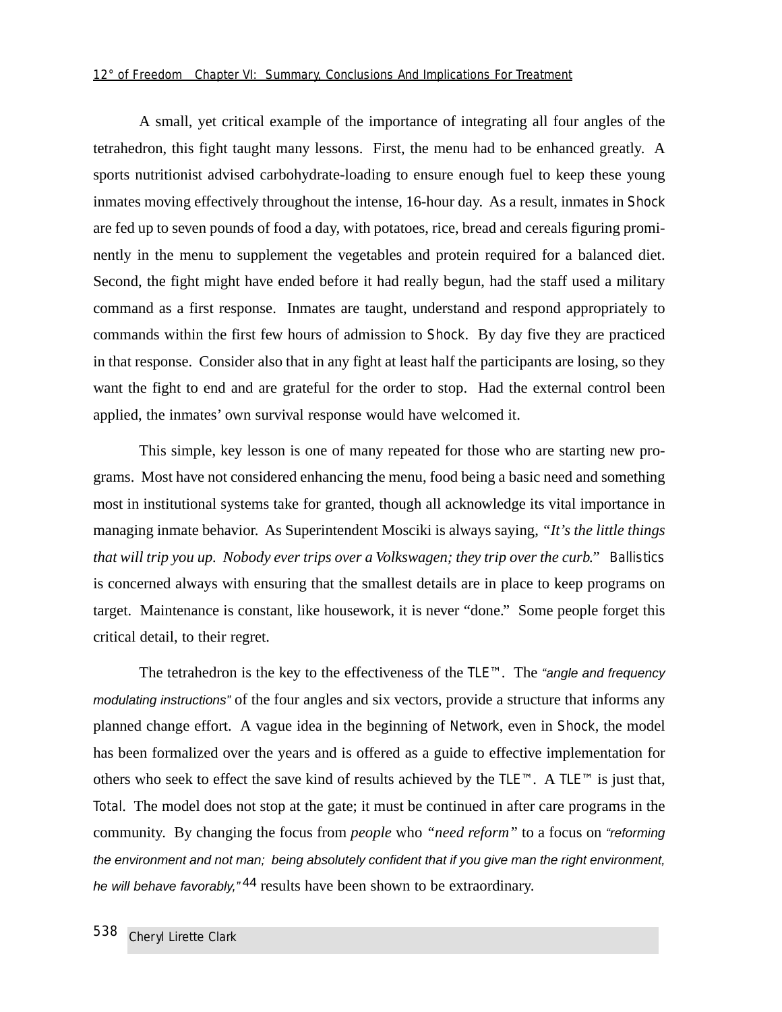#### *12° of Freedom Chapter VI: Summary, Conclusions And Implications For Treatment*

A small, yet critical example of the importance of integrating all four angles of the tetrahedron, this fight taught many lessons. First, the menu had to be enhanced greatly. A sports nutritionist advised carbohydrate-loading to ensure enough fuel to keep these young inmates moving effectively throughout the intense, 16-hour day. As a result, inmates in Shock are fed up to seven pounds of food a day, with potatoes, rice, bread and cereals figuring prominently in the menu to supplement the vegetables and protein required for a balanced diet. Second, the fight might have ended before it had really begun, had the staff used a military command as a first response. Inmates are taught, understand and respond appropriately to commands within the first few hours of admission to Shock. By day five they are practiced in that response. Consider also that in any fight at least half the participants are losing, so they want the fight to end and are grateful for the order to stop. Had the external control been applied, the inmates' own survival response would have welcomed it.

This simple, key lesson is one of many repeated for those who are starting new programs. Most have not considered enhancing the menu, food being a basic need and something most in institutional systems take for granted, though all acknowledge its vital importance in managing inmate behavior. As Superintendent Mosciki is always saying, *"It's the little things that will trip you up. Nobody ever trips over a Volkswagen; they trip over the curb."* Ballistics is concerned always with ensuring that the smallest details are in place to keep programs on target. Maintenance is constant, like housework, it is never "done." Some people forget this critical detail, to their regret.

The tetrahedron is the key to the effectiveness of the TLE™. The "angle and frequency modulating instructions" of the four angles and six vectors, provide a structure that informs any planned change effort. A vague idea in the beginning of Network, even in Shock, the model has been formalized over the years and is offered as a guide to effective implementation for others who seek to effect the save kind of results achieved by the TLE™. A TLE™ is just that, Total. The model does not stop at the gate; it must be continued in after care programs in the community. By changing the focus from *people* who *"need reform"* to a focus on "reforming the environment and not man; being absolutely confident that if you give man the right environment, he will behave favorably,"<sup>44</sup> results have been shown to be extraordinary.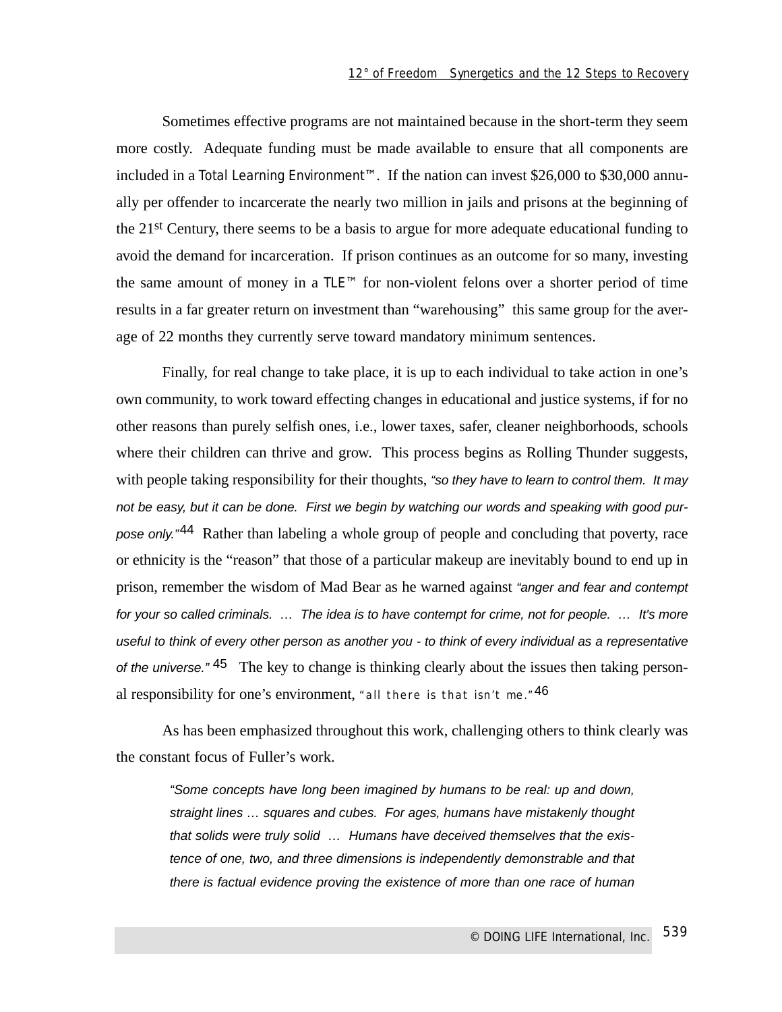Sometimes effective programs are not maintained because in the short-term they seem more costly. Adequate funding must be made available to ensure that all components are included in a Total Learning Environment™. If the nation can invest \$26,000 to \$30,000 annually per offender to incarcerate the nearly two million in jails and prisons at the beginning of the 21st Century, there seems to be a basis to argue for more adequate educational funding to avoid the demand for incarceration. If prison continues as an outcome for so many, investing the same amount of money in a TLE™ for non-violent felons over a shorter period of time results in a far greater return on investment than "warehousing" this same group for the average of 22 months they currently serve toward mandatory minimum sentences.

Finally, for real change to take place, it is up to each individual to take action in one's own community, to work toward effecting changes in educational and justice systems, if for no other reasons than purely selfish ones, i.e., lower taxes, safer, cleaner neighborhoods, schools where their children can thrive and grow. This process begins as Rolling Thunder suggests, with people taking responsibility for their thoughts, "so they have to learn to control them. It may not be easy, but it can be done. First we begin by watching our words and speaking with good purpose only."<sup>44</sup> Rather than labeling a whole group of people and concluding that poverty, race or ethnicity is the "reason" that those of a particular makeup are inevitably bound to end up in prison, remember the wisdom of Mad Bear as he warned against "anger and fear and contempt for your so called criminals. ... The idea is to have contempt for crime, not for people. ... It's more useful to think of every other person as another you - to think of every individual as a representative of the universe."  $45$  The key to change is thinking clearly about the issues then taking personal responsibility for one's environment, "all there is that isn't me."<sup>46</sup>

As has been emphasized throughout this work, challenging others to think clearly was the constant focus of Fuller's work.

"Some concepts have long been imagined by humans to be real: up and down, straight lines … squares and cubes. For ages, humans have mistakenly thought that solids were truly solid … Humans have deceived themselves that the existence of one, two, and three dimensions is independently demonstrable and that there is factual evidence proving the existence of more than one race of human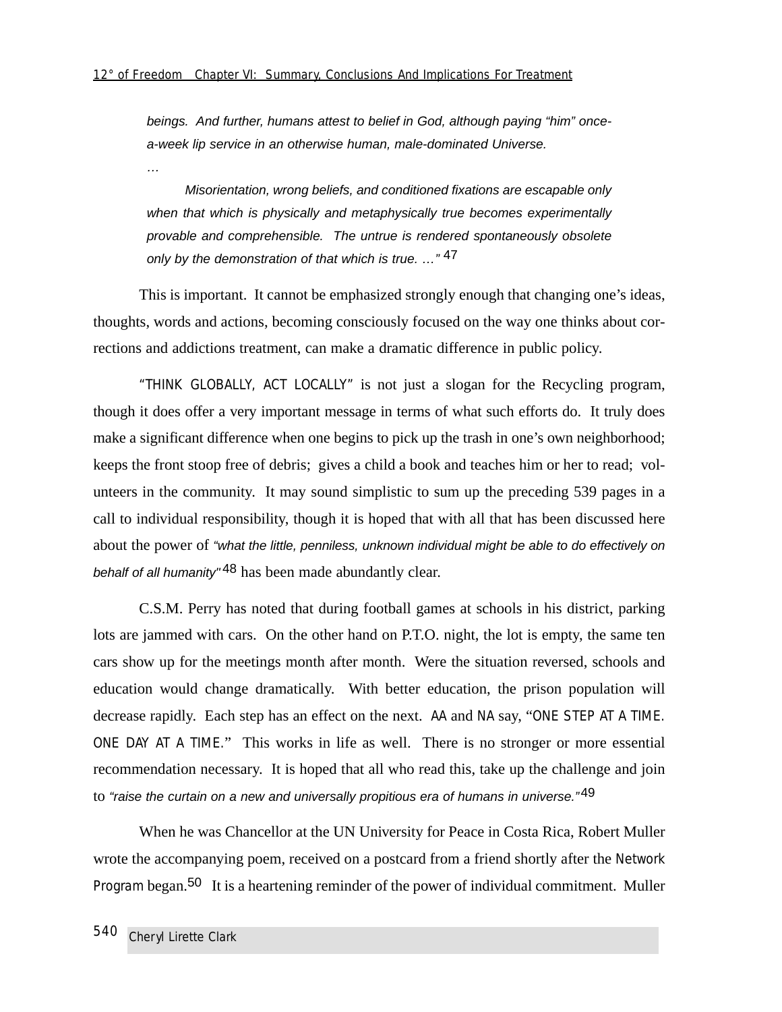beings. And further, humans attest to belief in God, although paying "him" oncea-week lip service in an otherwise human, male-dominated Universe.

…

Misorientation, wrong beliefs, and conditioned fixations are escapable only when that which is physically and metaphysically true becomes experimentally provable and comprehensible. The untrue is rendered spontaneously obsolete only by the demonstration of that which is true.  $\cdot \cdot$ <sup>47</sup>

This is important. It cannot be emphasized strongly enough that changing one's ideas, thoughts, words and actions, becoming consciously focused on the way one thinks about corrections and addictions treatment, can make a dramatic difference in public policy.

"THINK GLOBALLY, ACT LOCALLY" is not just a slogan for the Recycling program, though it does offer a very important message in terms of what such efforts do. It truly does make a significant difference when one begins to pick up the trash in one's own neighborhood; keeps the front stoop free of debris; gives a child a book and teaches him or her to read; volunteers in the community. It may sound simplistic to sum up the preceding 539 pages in a call to individual responsibility, though it is hoped that with all that has been discussed here about the power of "what the little, penniless, unknown individual might be able to do effectively on behalf of all humanity<sup>" 48</sup> has been made abundantly clear.

C.S.M. Perry has noted that during football games at schools in his district, parking lots are jammed with cars. On the other hand on P.T.O. night, the lot is empty, the same ten cars show up for the meetings month after month. Were the situation reversed, schools and education would change dramatically. With better education, the prison population will decrease rapidly. Each step has an effect on the next. AA and NA say, "ONE STEP AT A TIME. ONE DAY AT A TIME." This works in life as well. There is no stronger or more essential recommendation necessary. It is hoped that all who read this, take up the challenge and join to "raise the curtain on a new and universally propitious era of humans in universe."<sup>49</sup>

When he was Chancellor at the UN University for Peace in Costa Rica, Robert Muller wrote the accompanying poem, received on a postcard from a friend shortly after the Network Program began.<sup>50</sup> It is a heartening reminder of the power of individual commitment. Muller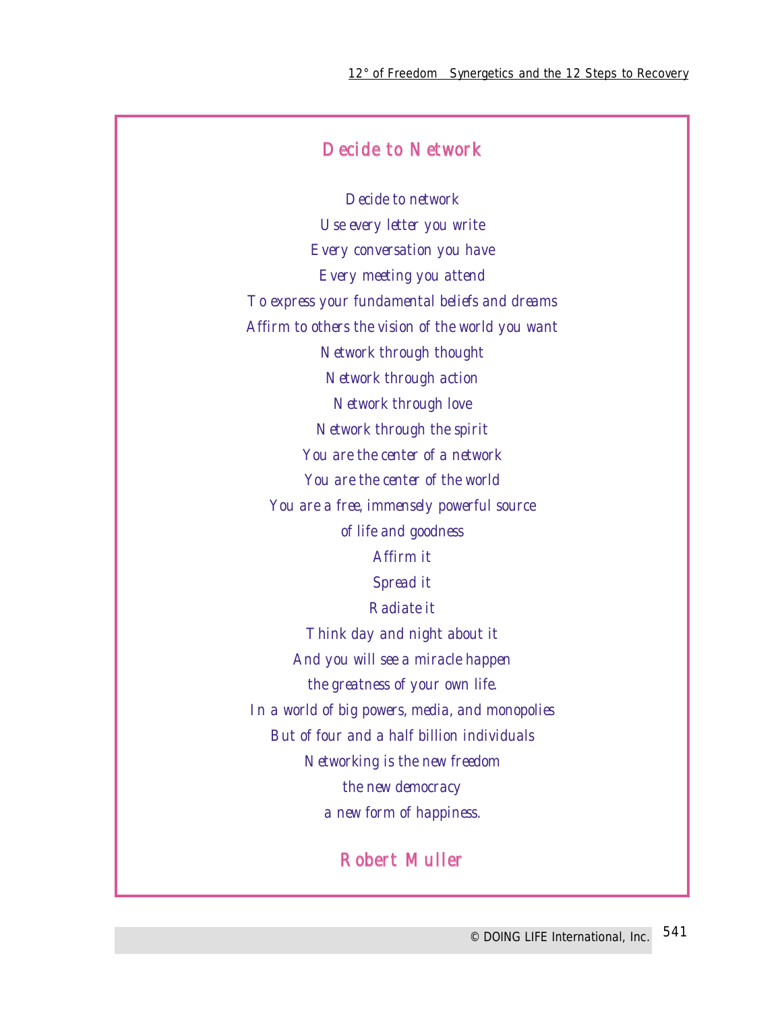## Decide to Network

Decide to network Use every letter you write Every conversation you have Every meeting you attend To express your fundamental beliefs and dreams Affirm to others the vision of the world you want Network through thought Network through action Network through love Network through the spirit You are the center of a network You are the center of the world You are a free, immensely powerful source of life and goodness Affirm it Spread it Radiate it Think day and night about it And you will see a miracle happen the greatness of your own life. In a world of big powers, media, and monopolies But of four and a half billion individuals Networking is the new freedom the new democracy a new form of happiness.

## Robert Muller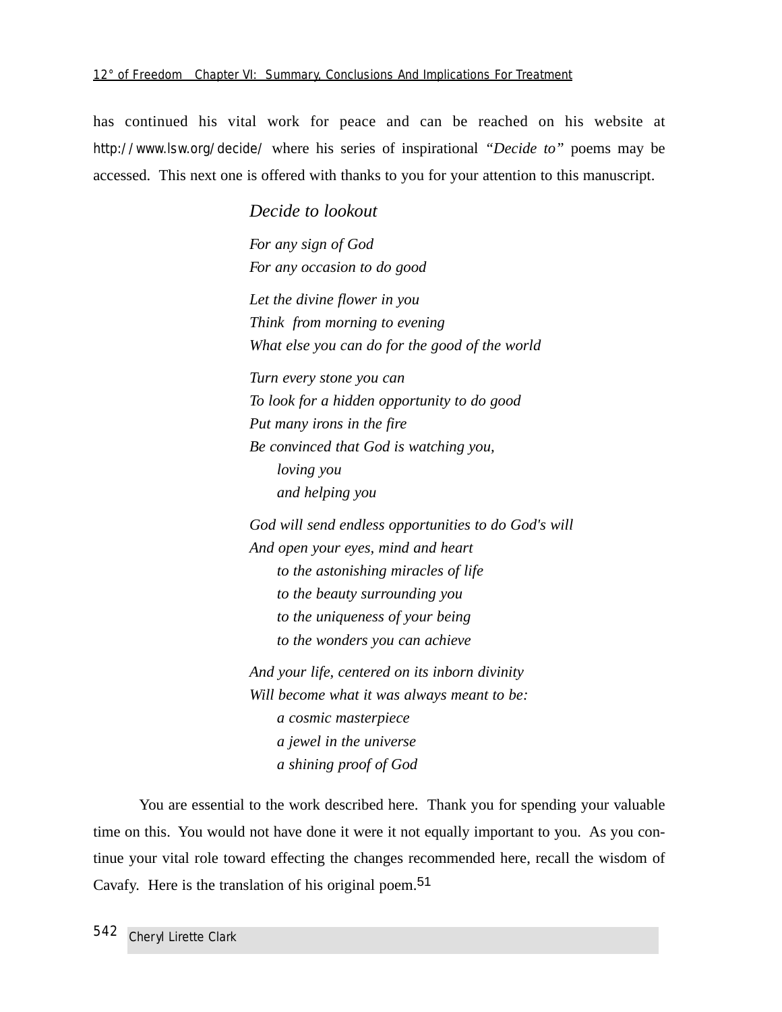has continued his vital work for peace and can be reached on his website at http://www.lsw.org/decide/ where his series of inspirational *"Decide to"* poems may be accessed. This next one is offered with thanks to you for your attention to this manuscript.

> *Decide to lookout For any sign of God For any occasion to do good Let the divine flower in you Think from morning to evening What else you can do for the good of the world Turn every stone you can To look for a hidden opportunity to do good Put many irons in the fire Be convinced that God is watching you, loving you and helping you God will send endless opportunities to do God's will And open your eyes, mind and heart to the astonishing miracles of life to the beauty surrounding you to the uniqueness of your being to the wonders you can achieve And your life, centered on its inborn divinity Will become what it was always meant to be: a cosmic masterpiece a jewel in the universe a shining proof of God*

You are essential to the work described here. Thank you for spending your valuable time on this. You would not have done it were it not equally important to you. As you continue your vital role toward effecting the changes recommended here, recall the wisdom of Cavafy. Here is the translation of his original poem.<sup>51</sup>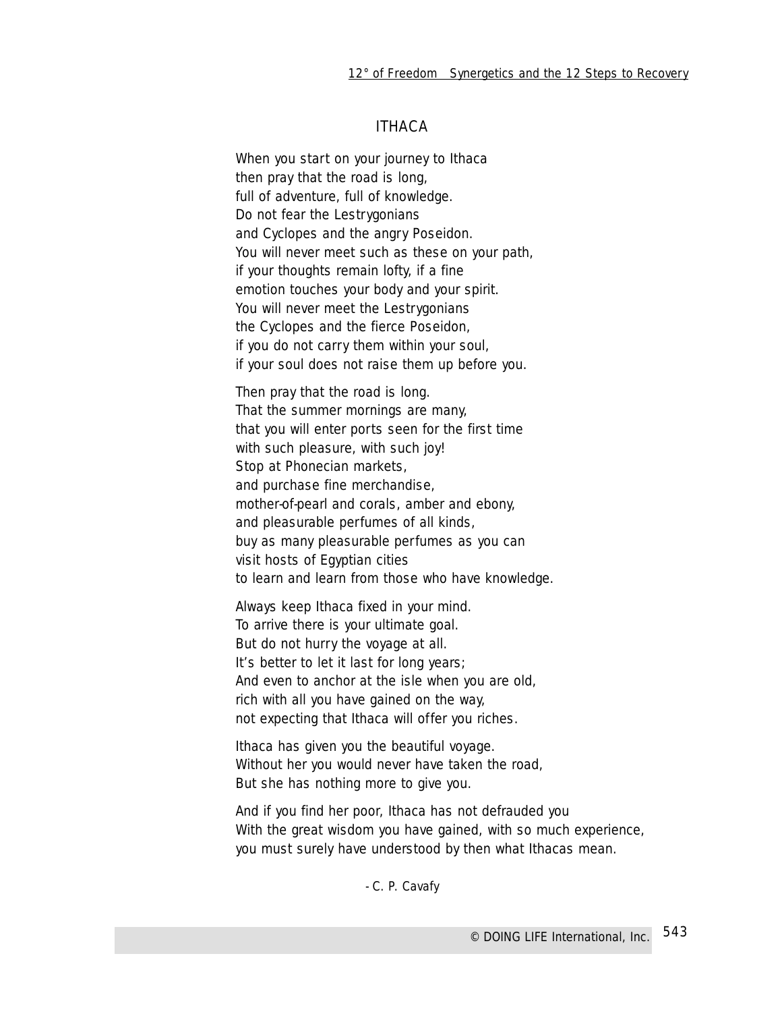## ITHACA

When you start on your journey to Ithaca then pray that the road is long, full of adventure, full of knowledge. Do not fear the Lestrygonians and Cyclopes and the angry Poseidon. You will never meet such as these on your path, if your thoughts remain lofty, if a fine emotion touches your body and your spirit. You will never meet the Lestrygonians the Cyclopes and the fierce Poseidon, if you do not carry them within your soul, if your soul does not raise them up before you.

Then pray that the road is long. That the summer mornings are many, that you will enter ports seen for the first time with such pleasure, with such joy! Stop at Phonecian markets, and purchase fine merchandise, mother-of-pearl and corals, amber and ebony, and pleasurable perfumes of all kinds, buy as many pleasurable perfumes as you can visit hosts of Egyptian cities to learn and learn from those who have knowledge.

Always keep Ithaca fixed in your mind. To arrive there is your ultimate goal. But do not hurry the voyage at all. It's better to let it last for long years; And even to anchor at the isle when you are old, rich with all you have gained on the way, not expecting that Ithaca will offer you riches.

Ithaca has given you the beautiful voyage. Without her you would never have taken the road, But she has nothing more to give you.

And if you find her poor, Ithaca has not defrauded you With the great wisdom you have gained, with so much experience, you must surely have understood by then what Ithacas mean.

- C. P. Cavafy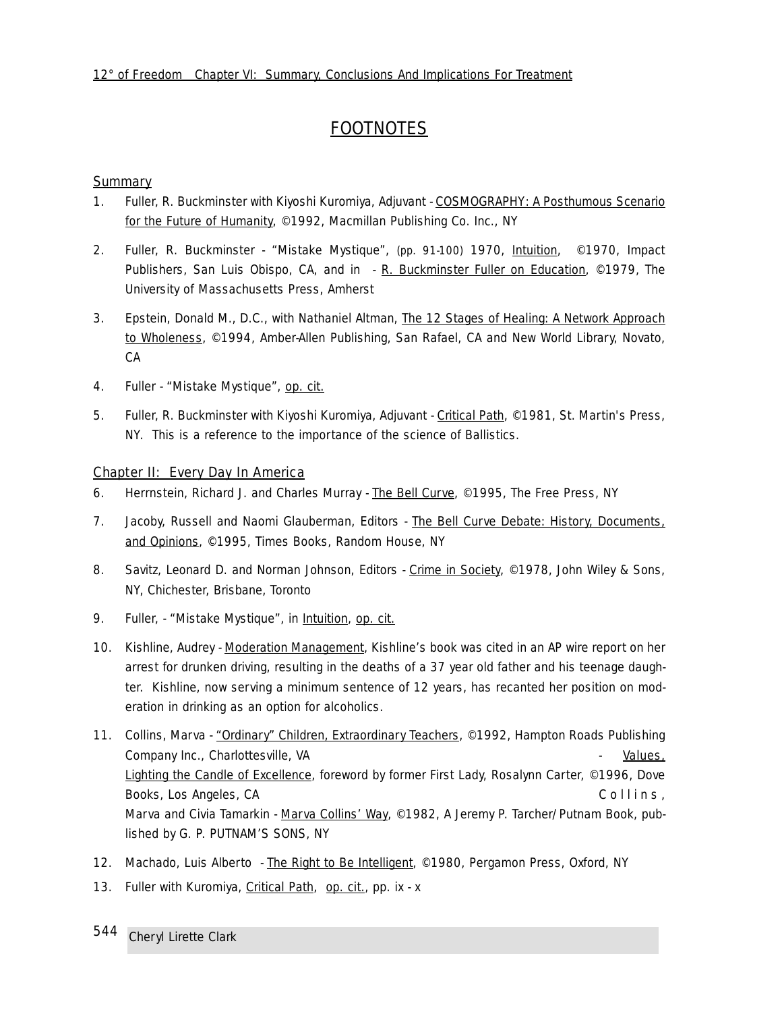## **FOOTNOTES**

#### **Summary**

- 1. Fuller, R. Buckminster with Kiyoshi Kuromiya, Adjuvant COSMOGRAPHY: A Posthumous Scenario for the Future of Humanity, ©1992, Macmillan Publishing Co. Inc., NY
- 2. Fuller, R. Buckminster *"Mistake Mystique",* (pp. 91-100) 1970, Intuition, ©1970, Impact Publishers, San Luis Obispo, CA, and in - R. Buckminster Fuller on Education, ©1979, The University of Massachusetts Press, Amherst
- 3. Epstein, Donald M., D.C., with Nathaniel Altman, The 12 Stages of Healing: A Network Approach to Wholeness, ©1994, Amber-Allen Publishing, San Rafael, CA and New World Library, Novato, CA
- 4. Fuller *"Mistake Mystique",* op. cit.
- 5. Fuller, R. Buckminster with Kiyoshi Kuromiya, Adjuvant Critical Path, ©1981, St. Martin's Press, NY. This is a reference to the importance of the science of Ballistics.

#### Chapter II: Every Day In America

- 6. Herrnstein, Richard J. and Charles Murray The Bell Curve, ©1995, The Free Press, NY
- 7. Jacoby, Russell and Naomi Glauberman, Editors The Bell Curve Debate: History, Documents, and Opinions, ©1995, Times Books, Random House, NY
- 8. Savitz, Leonard D. and Norman Johnson, Editors Crime in Society, ©1978, John Wiley & Sons, NY, Chichester, Brisbane, Toronto
- 9. Fuller, *"Mistake Mystique",* in Intuition, op. cit.
- 10. Kishline, Audrey Moderation Management, Kishline's book was cited in an AP wire report on her arrest for drunken driving, resulting in the deaths of a 37 year old father and his teenage daughter. Kishline, now serving a minimum sentence of 12 years, has recanted her position on moderation in drinking as an option for alcoholics.
- 11. Collins, Marva "Ordinary" Children, Extraordinary Teachers, ©1992, Hampton Roads Publishing Company Inc., Charlottesville, VA - Values, Values, Values, Values, Values, Values, Values, Values, Values, Values, Values, Values, Values, Values, Values, Values, Values, Values, Values, Values, Values, Values, Values, Va Lighting the Candle of Excellence, foreword by former First Lady, Rosalynn Carter, ©1996, Dove Books, Los Angeles, CA Collins, Collins, Collins, Collins, Collins, Collins, Collins, Collins, Collins, Collins, Collins, Collins, Collins, Collins, Collins, Collins, Collins, Collins, Collins, Collins, Collins, Collins, C Marva and Civia Tamarkin - Marva Collins' Way, ©1982, A Jeremy P. Tarcher/Putnam Book, published by G. P. PUTNAM'S SONS, NY
- 12. Machado, Luis Alberto The Right to Be Intelligent, ©1980, Pergamon Press, Oxford, NY
- 13. Fuller with Kuromiya, Critical Path, op. cit., pp. ix x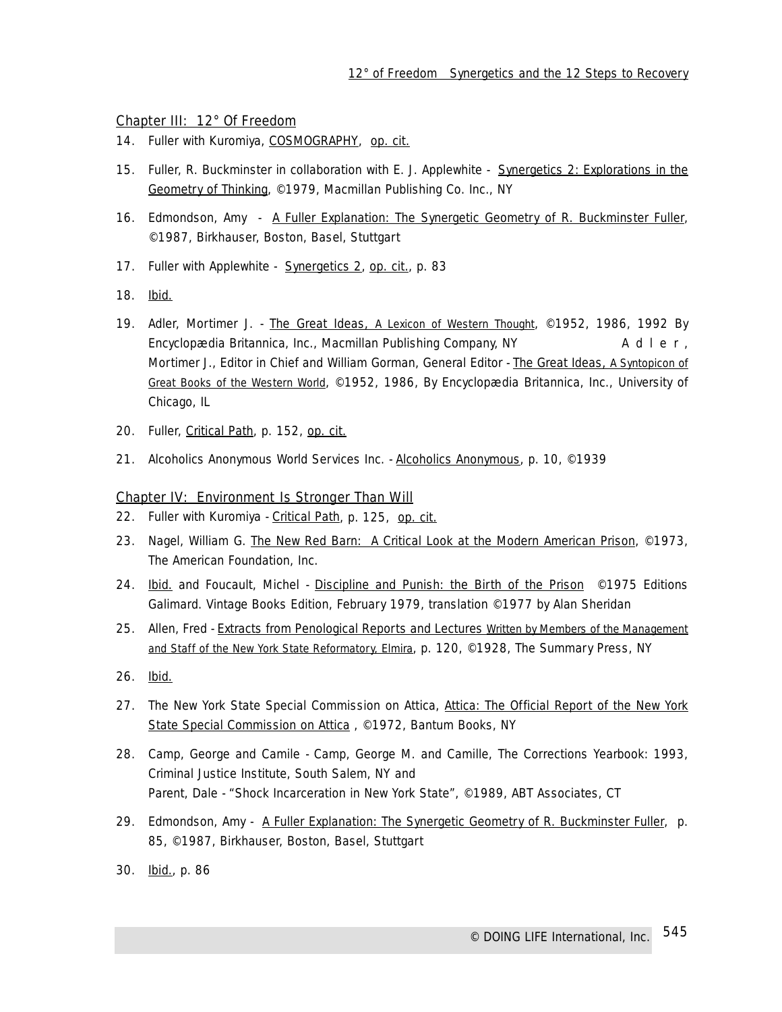#### Chapter III: 12° Of Freedom

- 14. Fuller with Kuromiya, COSMOGRAPHY, op. cit.
- 15. Fuller, R. Buckminster in collaboration with E. J. Applewhite Synergetics 2: Explorations in the Geometry of Thinking, ©1979, Macmillan Publishing Co. Inc., NY
- 16. Edmondson, Amy A Fuller Explanation: The Synergetic Geometry of R. Buckminster Fuller, ©1987, Birkhauser, Boston, Basel, Stuttgart
- 17. Fuller with Applewhite Synergetics 2, op. cit., p. 83
- 18. Ibid.
- 19. Adler, Mortimer J. The Great Ideas, *A Lexicon of Western Thought*, ©1952, 1986, 1992 By Encyclopædia Britannica, Inc., Macmillan Publishing Company, NY Adler, Mortimer J., Editor in Chief and William Gorman, General Editor - The Great Ideas, *A Syntopicon of Great Books of the Western World*, ©1952, 1986, By Encyclopædia Britannica, Inc., University of Chicago, IL
- 20. Fuller, Critical Path*,* p. 152, op. cit.
- 21. Alcoholics Anonymous World Services Inc. Alcoholics Anonymous, p. 10, ©1939

#### Chapter IV: Environment Is Stronger Than Will

- 22. Fuller with Kuromiya Critical Path, p. 125, op. cit.
- 23. Nagel, William G. The New Red Barn: A Critical Look at the Modern American Prison, ©1973, The American Foundation, Inc.
- 24. Ibid. and Foucault, Michel Discipline and Punish: the Birth of the Prison ©1975 Editions Galimard. Vintage Books Edition, February 1979, translation ©1977 by Alan Sheridan
- 25. Allen, Fred Extracts from Penological Reports and Lectures *Written by Members of the Management and Staff of the New York State Reformatory, Elmira*, p. 120, ©1928, The Summary Press, NY
- 26. Ibid.
- 27. The New York State Special Commission on Attica, Attica: The Official Report of the New York State Special Commission on Attica , ©1972, Bantum Books, NY
- 28. Camp, George and Camile Camp, George M. and Camille, *The Corrections Yearbook: 1993*, Criminal Justice Institute, South Salem, NY and Parent, Dale - *"Shock Incarceration in New York State"*, ©1989, ABT Associates, CT
- 29. Edmondson, Amy A Fuller Explanation: The Synergetic Geometry of R. Buckminster Fuller, p. 85, ©1987, Birkhauser, Boston, Basel, Stuttgart
- 30. lbid., p. 86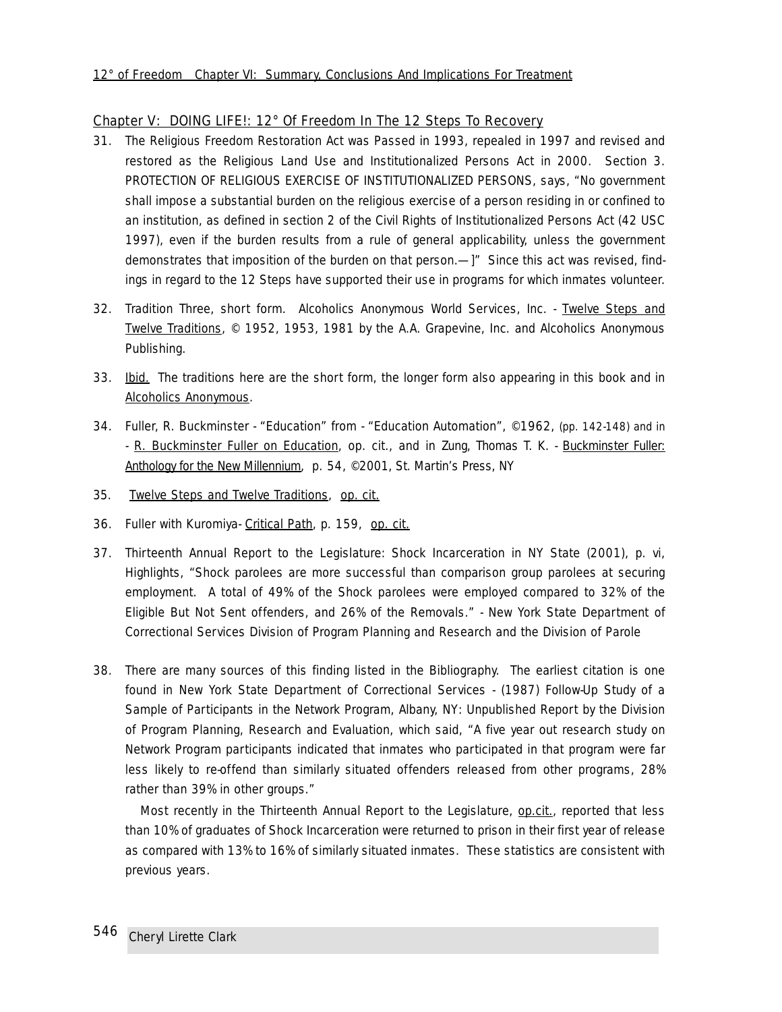#### Chapter V: DOING LIFE!: 12° Of Freedom In The 12 Steps To Recovery

- 31. The Religious Freedom Restoration Act was Passed in 1993, repealed in 1997 and revised and restored as the Religious Land Use and Institutionalized Persons Act in 2000. Section 3. PROTECTION OF RELIGIOUS EXERCISE OF INSTITUTIONALIZED PERSONS, says, *"No government shall impose a substantial burden on the religious exercise of a person residing in or confined to an institution, as defined in section 2 of the Civil Rights of Institutionalized Persons Act (42 USC 1997), even if the burden results from a rule of general applicability, unless the government demonstrates that imposition of the burden on that person.—]"* Since this act was revised, findings in regard to the 12 Steps have supported their use in programs for which inmates volunteer.
- 32. Tradition Three, short form. Alcoholics Anonymous World Services, Inc. Twelve Steps and Twelve Traditions, © 1952, 1953, 1981 by the A.A. Grapevine, Inc. and Alcoholics Anonymous Publishing.
- 33. Ibid. The traditions here are the short form, the longer form also appearing in this book and in Alcoholics Anonymous.
- 34. Fuller, R. Buckminster *"Education"* from *"Education Automation", ©1962,* (pp. 142-148) and in - R. Buckminster Fuller on Education, op. cit., and in Zung, Thomas T. K. - Buckminster Fuller: Anthology for the New Millennium, p. 54, ©2001, St. Martin's Press, NY
- 35. Twelve Steps and Twelve Traditions, op. cit.
- 36. Fuller with Kuromiya- Critical Path, p. 159, op. cit.
- 37. Thirteenth Annual Report to the Legislature: Shock Incarceration in NY State (2001), p. vi, Highlights, *"Shock parolees are more successful than comparison group parolees at securing employment. A total of 49% of the Shock parolees were employed compared to 32% of the* Eligible But Not Sent *offenders, and 26% of the* Removals*." -* New York State Department of Correctional Services Division of Program Planning and Research and the Division of Parole
- 38. There are many sources of this finding listed in the Bibliography. The earliest citation is one found in New York State Department of Correctional Services - (1987) *Follow-Up Study of a Sample of Participants in the Network Program,* Albany, NY: Unpublished Report by the Division of Program Planning, Research and Evaluation, which said, "*A five year out research study on Network Program participants indicated that inmates who participated in that program were far less likely to re-offend than similarly situated offenders released from other programs, 28% rather than 39% in other groups."*

Most recently in the Thirteenth Annual Report to the Legislature, op.cit., reported that less than 10% of graduates of Shock Incarceration were returned to prison in their first year of release as compared with 13% to 16% of similarly situated inmates. These statistics are consistent with previous years.